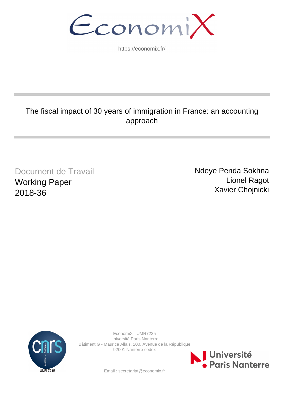EconomiX

https://economix.fr/

## The fiscal impact of 30 years of immigration in France: an accounting approach

Document de Travail Working Paper 2018-36

Ndeye Penda Sokhna Lionel Ragot Xavier Chojnicki



EconomiX - UMR7235 Université Paris Nanterre Bâtiment G - Maurice Allais, 200, Avenue de la République 92001 Nanterre cedex



Email : secretariat@economix.fr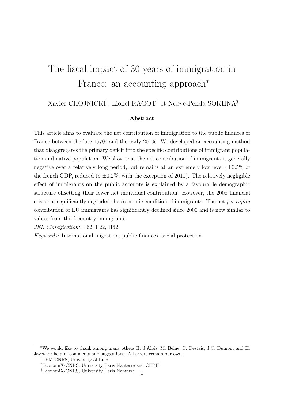# The fiscal impact of 30 years of immigration in France: an accounting approach<sup>∗</sup>

## Xavier CHOJNICKI† , Lionel RAGOT‡ et Ndeye-Penda SOKHNA§

#### Abstract

This article aims to evaluate the net contribution of immigration to the public finances of France between the late 1970s and the early 2010s. We developed an accounting method that disaggregates the primary deficit into the specific contributions of immigrant population and native population. We show that the net contribution of immigrants is generally negative over a relatively long period, but remains at an extremely low level  $(\pm 0.5\%$  of the french GDP, reduced to  $\pm 0.2\%$ , with the exception of 2011). The relatively negligible effect of immigrants on the public accounts is explained by a favourable demographic structure offsetting their lower net individual contribution. However, the 2008 financial crisis has significantly degraded the economic condition of immigrants. The net per capita contribution of EU immigrants has significantly declined since 2000 and is now similar to values from third country immigrants.

JEL Classification: E62, F22, H62.

Keywords: International migration, public finances, social protection

<sup>∗</sup>We would like to thank among many others H. d'Albis, M. Beine, C. Destais, J.C. Dumont and H. Jayet for helpful comments and suggestions. All errors remain our own.

<sup>†</sup>LEM-CNRS, University of Lille

<sup>‡</sup>EconomiX-CNRS, University Paris Nanterre and CEPII

<sup>&</sup>lt;sup>§</sup>EconomiX-CNRS, University Paris Nanterre 1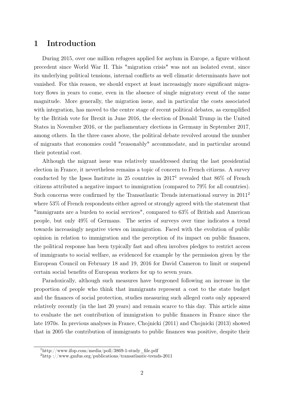## 1 Introduction

During 2015, over one million refugees applied for asylum in Europe, a figure without precedent since World War II. This "migration crisis" was not an isolated event, since its underlying political tensions, internal conflicts as well climatic determinants have not vanished. For this reason, we should expect at least increasingly more significant migratory flows in years to come, even in the absence of single migratory event of the same magnitude. More generally, the migration issue, and in particular the costs associated with integration, has moved to the centre stage of recent political debates, as exemplified by the British vote for Brexit in June 2016, the election of Donald Trump in the United States in November 2016, or the parliamentary elections in Germany in September 2017, among others. In the three cases above, the political debate revolved around the number of migrants that economies could "reasonably" accommodate, and in particular around their potential cost.

Although the migrant issue was relatively unaddressed during the last presidential election in France, it nevertheless remains a topic of concern to French citizens. A survey conducted by the Ipsos Institute in 25 countries in  $2017<sup>1</sup>$  revealed that 86% of French citizens attributed a negative impact to immigration (compared to 79% for all countries). Such concerns were confirmed by the Transatlantic Trends international survey in 2011<sup>2</sup> where 53% of French respondents either agreed or strongly agreed with the statement that "immigrants are a burden to social services", compared to 63% of British and American people, but only 49% of Germans. The series of surveys over time indicates a trend towards increasingly negative views on immigration. Faced with the evolution of public opinion in relation to immigration and the perception of its impact on public finances, the political response has been typically fast and often involves pledges to restrict access of immigrants to social welfare, as evidenced for example by the permission given by the European Council on February 18 and 19, 2016 for David Cameron to limit or suspend certain social benefits of European workers for up to seven years.

Paradoxically, although such measures have burgeoned following an increase in the proportion of people who think that immigrants represent a cost to the state budget and the finances of social protection, studies measuring such alleged costs only appeared relatively recently (in the last 20 years) and remain scarce to this day. This article aims to evaluate the net contribution of immigration to public finances in France since the late 1970s. In previous analyses in France, Chojnicki (2011) and Chojnicki (2013) showed that in 2005 the contribution of immigrants to public finances was positive, despite their

 $1$ http://www.ifop.com/media/poll/3869-1-study file.pdf

<sup>2</sup>http ://www.gmfus.org/publications/transatlantic-trends-2011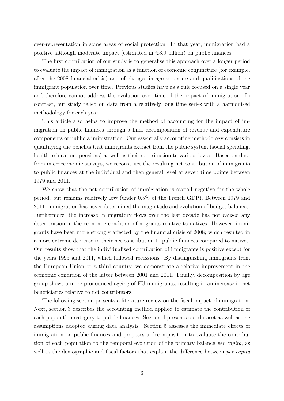over-representation in some areas of social protection. In that year, immigration had a positive although moderate impact (estimated in  $\epsilon$ 3.9 billion) on public finances.

The first contribution of our study is to generalise this approach over a longer period to evaluate the impact of immigration as a function of economic conjuncture (for example, after the 2008 financial crisis) and of changes in age structure and qualifications of the immigrant population over time. Previous studies have as a rule focused on a single year and therefore cannot address the evolution over time of the impact of immigration. In contrast, our study relied on data from a relatively long time series with a harmonised methodology for each year.

This article also helps to improve the method of accounting for the impact of immigration on public finances through a finer decomposition of revenue and expenditure components of public administration. Our essentially accounting methodology consists in quantifying the benefits that immigrants extract from the public system (social spending, health, education, pensions) as well as their contribution to various levies. Based on data from microeconomic surveys, we reconstruct the resulting net contribution of immigrants to public finances at the individual and then general level at seven time points between 1979 and 2011.

We show that the net contribution of immigration is overall negative for the whole period, but remains relatively low (under 0.5% of the French GDP). Between 1979 and 2011, immigration has never determined the magnitude and evolution of budget balances. Furthermore, the increase in migratory flows over the last decade has not caused any deterioration in the economic condition of migrants relative to natives. However, immigrants have been more strongly affected by the financial crisis of 2008; which resulted in a more extreme decrease in their net contribution to public finances compared to natives. Our results show that the individualised contribution of immigrants is positive except for the years 1995 and 2011, which followed recessions. By distinguishing immigrants from the European Union or a third country, we demonstrate a relative improvement in the economic condition of the latter between 2001 and 2011. Finally, decomposition by age group shows a more pronounced ageing of EU immigrants, resulting in an increase in net beneficiaries relative to net contributors.

The following section presents a literature review on the fiscal impact of immigration. Next, section 3 describes the accounting method applied to estimate the contribution of each population category to public finances. Section 4 presents our dataset as well as the assumptions adopted during data analysis. Section 5 assesses the immediate effects of immigration on public finances and proposes a decomposition to evaluate the contribution of each population to the temporal evolution of the primary balance *per capita*, as well as the demographic and fiscal factors that explain the difference between *per capita*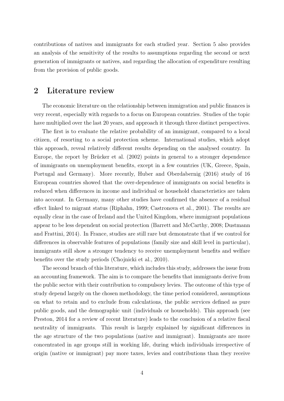contributions of natives and immigrants for each studied year. Section 5 also provides an analysis of the sensitivity of the results to assumptions regarding the second or next generation of immigrants or natives, and regarding the allocation of expenditure resulting from the provision of public goods.

### 2 Literature review

The economic literature on the relationship between immigration and public finances is very recent, especially with regards to a focus on European countries. Studies of the topic have multiplied over the last 20 years, and approach it through three distinct perspectives.

The first is to evaluate the relative probability of an immigrant, compared to a local citizen, of resorting to a social protection scheme. International studies, which adopt this approach, reveal relatively different results depending on the analysed country. In Europe, the report by Brücker et al. (2002) points in general to a stronger dependence of immigrants on unemployment benefits, except in a few countries (UK, Greece, Spain, Portugal and Germany). More recently, Huber and Oberdabernig (2016) study of 16 European countries showed that the over-dependence of immigrants on social benefits is reduced when differences in income and individual or household characteristics are taken into account. In Germany, many other studies have confirmed the absence of a residual effect linked to migrant status (Riphahn, 1999; Castronova et al., 2001). The results are equally clear in the case of Ireland and the United Kingdom, where immigrant populations appear to be less dependent on social protection (Barrett and McCarthy, 2008; Dustmann and Frattini, 2014). In France, studies are still rare but demonstrate that if we control for differences in observable features of populations (family size and skill level in particular), immigrants still show a stronger tendency to receive unemployment benefits and welfare benefits over the study periods (Chojnicki et al., 2010).

The second branch of this literature, which includes this study, addresses the issue from an accounting framework. The aim is to compare the benefits that immigrants derive from the public sector with their contribution to compulsory levies. The outcome of this type of study depend largely on the chosen methodology, the time period considered, assumptions on what to retain and to exclude from calculations, the public services defined as pure public goods, and the demographic unit (individuals or households). This approach (see Preston, 2014 for a review of recent literature) leads to the conclusion of a relative fiscal neutrality of immigrants. This result is largely explained by significant differences in the age structure of the two populations (native and immigrant). Immigrants are more concentrated in age groups still in working life, during which individuals irrespective of origin (native or immigrant) pay more taxes, levies and contributions than they receive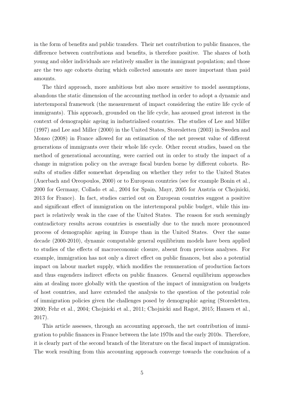in the form of benefits and public transfers. Their net contribution to public finances, the difference between contributions and benefits, is therefore positive. The shares of both young and older individuals are relatively smaller in the immigrant population; and those are the two age cohorts during which collected amounts are more important than paid amounts.

The third approach, more ambitious but also more sensitive to model assumptions, abandons the static dimension of the accounting method in order to adopt a dynamic and intertemporal framework (the measurement of impact considering the entire life cycle of immigrants). This approach, grounded on the life cycle, has aroused great interest in the context of demographic ageing in industrialised countries. The studies of Lee and Miller (1997) and Lee and Miller (2000) in the United States, Storesletten (2003) in Sweden and Monso (2008) in France allowed for an estimation of the net present value of different generations of immigrants over their whole life cycle. Other recent studies, based on the method of generational accounting, were carried out in order to study the impact of a change in migration policy on the average fiscal burden borne by different cohorts. Results of studies differ somewhat depending on whether they refer to the United States (Auerbach and Oreopoulos, 2000) or to European countries (see for example Bonin et al., 2000 for Germany, Collado et al., 2004 for Spain, Mayr, 2005 for Austria or Chojnicki, 2013 for France). In fact, studies carried out on European countries suggest a positive and significant effect of immigration on the intertemporal public budget, while this impact is relatively weak in the case of the United States. The reason for such seemingly contradictory results across countries is essentially due to the much more pronounced process of demographic ageing in Europe than in the United States. Over the same decade (2000-2010), dynamic computable general equilibrium models have been applied to studies of the effects of macroeconomic closure, absent from previous analyses. For example, immigration has not only a direct effect on public finances, but also a potential impact on labour market supply, which modifies the remuneration of production factors and thus engenders indirect effects on public finances. General equilibrium approaches aim at dealing more globally with the question of the impact of immigration on budgets of host countries, and have extended the analysis to the question of the potential role of immigration policies given the challenges posed by demographic ageing (Storesletten, 2000; Fehr et al., 2004; Chojnicki et al., 2011; Chojnicki and Ragot, 2015; Hansen et al., 2017).

This article assesses, through an accounting approach, the net contribution of immigration to public finances in France between the late 1970s and the early 2010s. Therefore, it is clearly part of the second branch of the literature on the fiscal impact of immigration. The work resulting from this accounting approach converge towards the conclusion of a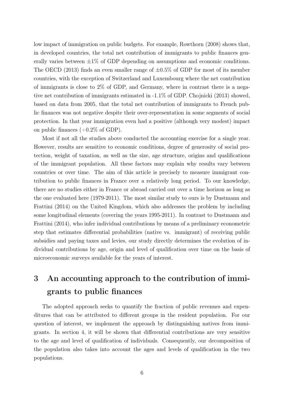low impact of immigration on public budgets. For example, Rowthorn (2008) shows that, in developed countries, the total net contribution of immigrants to public finances generally varies between  $\pm 1\%$  of GDP depending on assumptions and economic conditions. The OECD (2013) finds an even smaller range of  $\pm 0.5\%$  of GDP for most of its member countries, with the exception of Switzerland and Luxembourg where the net contribution of immigrants is close to 2% of GDP, and Germany, where in contrast there is a negative net contribution of immigrants estimated in -1.1% of GDP. Chojnicki (2013) showed, based on data from 2005, that the total net contribution of immigrants to French public finances was not negative despite their over-representation in some segments of social protection. In that year immigration even had a positive (although very modest) impact on public finances  $(+0.2\% \text{ of GDP}).$ 

Most if not all the studies above conducted the accounting exercise for a single year. However, results are sensitive to economic conditions, degree of generosity of social protection, weight of taxation, as well as the size, age structure, origins and qualifications of the immigrant population. All these factors may explain why results vary between countries or over time. The aim of this article is precisely to measure immigrant contribution to public finances in France over a relatively long period. To our knowledge, there are no studies either in France or abroad carried out over a time horizon as long as the one evaluated here (1979-2011). The most similar study to ours is by Dustmann and Frattini (2014) on the United Kingdom, which also addresses the problem by including some longitudinal elements (covering the years 1995-2011). In contrast to Dustmann and Frattini (2014), who infer individual contributions by means of a preliminary econometric step that estimates differential probabilities (native vs. immigrant) of receiving public subsidies and paying taxes and levies, our study directly determines the evolution of individual contributions by age, origin and level of qualification over time on the basis of microeconomic surveys available for the years of interest.

## 3 An accounting approach to the contribution of immigrants to public finances

The adopted approach seeks to quantify the fraction of public revenues and expenditures that can be attributed to different groups in the resident population. For our question of interest, we implement the approach by distinguishing natives from immigrants. In section 4, it will be shown that differential contributions are very sensitive to the age and level of qualification of individuals. Consequently, our decomposition of the population also takes into account the ages and levels of qualification in the two populations.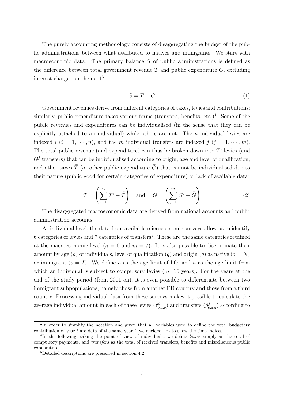The purely accounting methodology consists of disaggregating the budget of the public administrations between what attributed to natives and immigrants. We start with macroeconomic data. The primary balance S of public administrations is defined as the difference between total government revenue  $T$  and public expenditure  $G$ , excluding interest charges on the debt<sup>3</sup>:

$$
S = T - G \tag{1}
$$

Government revenues derive from different categories of taxes, levies and contributions; similarly, public expenditure takes various forms (transfers, benefits, etc.)<sup>4</sup>. Some of the public revenues and expenditures can be individualised (in the sense that they can be explicitly attached to an individual) while others are not. The  $n$  individual levies are indexed i  $(i = 1, \dots, n)$ , and the m individual transfers are indexed j  $(j = 1, \dots, m)$ . The total public revenue (and expenditure) can thus be broken down into  $T<sup>i</sup>$  levies (and  $G<sup>j</sup>$  transfers) that can be individualised according to origin, age and level of qualification, and other taxes  $\bar{\bar{T}}$  (or other public expenditure  $\bar{\bar{G}}$ ) that cannot be individualised due to their nature (public good for certain categories of expenditure) or lack of available data:

$$
T = \left(\sum_{i=1}^{n} T^i + \overline{\overline{T}}\right) \quad \text{and} \quad G = \left(\sum_{j=1}^{m} G^j + \overline{\overline{G}}\right) \tag{2}
$$

The disaggregated macroeconomic data are derived from national accounts and public administration accounts.

At individual level, the data from available microeconomic surveys allow us to identify 6 categories of levies and 7 categories of transfers<sup>5</sup>. These are the same categories retained at the macroeconomic level ( $n = 6$  and  $m = 7$ ). It is also possible to discriminate their amount by age (a) of individuals, level of qualification (q) and origin (o) as native ( $o = N$ ) or immigrant  $(o = I)$ . We define  $\overline{a}$  as the age limit of life, and a as the age limit from which an individual is subject to compulsory levies ( $a=16$  years). For the years at the end of the study period (from 2001 on), it is even possible to differentiate between two immigrant subpopulations, namely those from another EU country and those from a third country. Processing individual data from these surveys makes it possible to calculate the average individual amount in each of these levies  $(\tilde{\tau}_{o,a,q}^i)$  and transfers  $(\tilde{g}_{o,a,q}^j)$  according to

<sup>&</sup>lt;sup>3</sup>In order to simplify the notation and given that all variables used to define the total budgetary contribution of year  $t$  are data of the same year  $t$ , we decided not to show the time indices.

<sup>&</sup>lt;sup>4</sup>In the following, taking the point of view of individuals, we define levies simply as the total of compulsory payments, and transfers as the total of received transfers, benefits and miscellaneous public expenditure.

<sup>5</sup>Detailed descriptions are presented in section 4.2.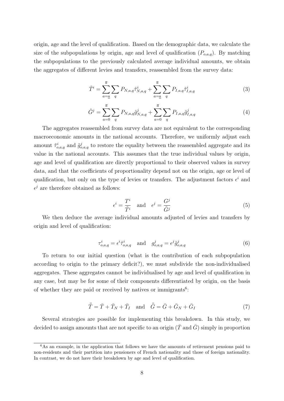origin, age and the level of qualification. Based on the demographic data, we calculate the size of the subpopulations by origin, age and level of qualification  $(P_{o,a,q})$ . By matching the subpopulations to the previously calculated average individual amounts, we obtain the aggregates of different levies and transfers, reassembled from the survey data:

$$
\tilde{T}^i = \sum_{a=a}^{\overline{a}} \sum_q P_{N,a,q} \tilde{\tau}^i_{N,a,q} + \sum_{a=a}^{\overline{a}} \sum_q P_{I,a,q} \tilde{\tau}^i_{I,a,q}
$$
\n(3)

$$
\tilde{G}^{j} = \sum_{a=0}^{\overline{a}} \sum_{q} P_{N,a,q} \tilde{g}^{j}_{N,a,q} + \sum_{a=0}^{\overline{a}} \sum_{q} P_{I,a,q} \tilde{g}^{j}_{I,a,q}
$$
(4)

The aggregates reassembled from survey data are not equivalent to the corresponding macroeconomic amounts in the national accounts. Therefore, we uniformly adjust each amount  $\tilde{\tau}_{o,a,q}^i$  and  $\tilde{g}_{o,a,q}^j$  to restore the equality between the reassembled aggregate and its value in the national accounts. This assumes that the true individual values by origin, age and level of qualification are directly proportional to their observed values in survey data, and that the coefficients of proportionality depend not on the origin, age or level of qualification, but only on the type of levies or transfers. The adjustment factors  $\epsilon^i$  and  $\epsilon^j$  are therefore obtained as follows:

$$
\epsilon^i = \frac{T^i}{\tilde{T}^i} \quad \text{and} \quad \epsilon^j = \frac{G^j}{\tilde{G}^j} \tag{5}
$$

We then deduce the average individual amounts adjusted of levies and transfers by origin and level of qualification:

$$
\tau_{o,a,q}^i = \epsilon^i \tilde{\tau}_{o,a,q}^i \quad \text{and} \quad g_{o,a,q}^j = \epsilon^j \tilde{g}_{o,a,q}^j \tag{6}
$$

To return to our initial question (what is the contribution of each subpopulation according to origin to the primary deficit?), we must subdivide the non-individualised aggregates. These aggregates cannot be individualised by age and level of qualification in any case, but may be for some of their components differentiated by origin, on the basis of whether they are paid or received by natives or immigrants<sup>6</sup>:

$$
\overline{\overline{T}} = \overline{T} + \overline{T}_N + \overline{T}_I \quad \text{and} \quad \overline{\overline{G}} = \overline{G} + \overline{G}_N + \overline{G}_I \tag{7}
$$

Several strategies are possible for implementing this breakdown. In this study, we decided to assign amounts that are not specific to an origin ( $\overline{T}$  and  $\overline{G}$ ) simply in proportion

<sup>&</sup>lt;sup>6</sup>As an example, in the application that follows we have the amounts of retirement pensions paid to non-residents and their partition into pensioners of French nationality and those of foreign nationality. In contrast, we do not have their breakdown by age and level of qualification.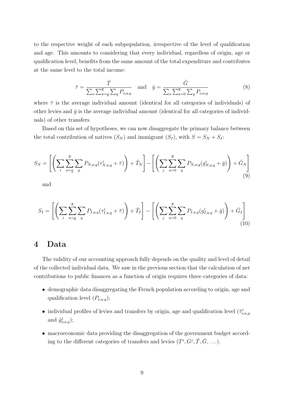to the respective weight of each subpopulation, irrespective of the level of qualification and age. This amounts to considering that every individual, regardless of origin, age or qualification level, benefits from the same amount of the total expenditure and contributes at the same level to the total income:

$$
\bar{\tau} = \frac{\bar{T}}{\sum_{o} \sum_{a=\underline{a}}^{\overline{a}} \sum_{q} P_{o,a,q}} \quad \text{and} \quad \bar{g} = \frac{\bar{G}}{\sum_{o} \sum_{a=0}^{\overline{a}} \sum_{q} P_{o,a,q}} \tag{8}
$$

where  $\bar{\tau}$  is the average individual amount (identical for all categories of individuals) of other levies and  $\bar{g}$  is the average individual amount (identical for all categories of individuals) of other transfers.

Based on this set of hypotheses, we can now disaggregate the primary balance between the total contribution of natives  $(S_N)$  and immigrant  $(S_I)$ , with  $S = S_N + S_I$ :

$$
S_N = \left[ \left( \sum_i \sum_{a=a}^{\overline{a}} \sum_q P_{N,a,q} (\tau^i_{N,a,q} + \overline{\tau}) \right) + \overline{T}_N \right] - \left[ \left( \sum_j \sum_{a=0}^{\overline{a}} \sum_q P_{N,a,q} (g^i_{N,a,q} + \overline{g}) \right) + \overline{G}_N \right] \tag{9}
$$

and

$$
S_I = \left[ \left( \sum_i \sum_{a=a}^{\overline{a}} \sum_q P_{I,a,q} (\tau_{I,a,q}^i + \overline{\tau}) \right) + \overline{T}_I \right] - \left[ \left( \sum_j \sum_{a=0}^{\overline{a}} \sum_q P_{I,a,q} (g_{I,a,q}^i + \overline{g}) \right) + \overline{G}_I \right] \tag{10}
$$

### 4 Data

The validity of our accounting approach fully depends on the quality and level of detail of the collected individual data. We saw in the previous section that the calculation of net contributions to public finances as a function of origin requires three categories of data:

- demographic data disaggregating the French population according to origin, age and qualification level  $(P_{o,a,q});$
- individual profiles of levies and transfers by origin, age and qualification level  $(\tilde{\tau}_{o,a,q}^i)$ and  $\tilde{g}^j_{o,a,q}$ );
- macroeconomic data providing the disaggregation of the government budget according to the different categories of transfers and levies  $(T^i, G^j, \overline{T}, \overline{G}, \dots)$ .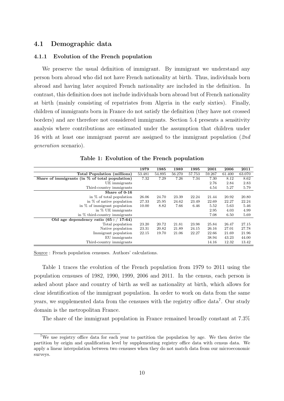#### 4.1 Demographic data

#### 4.1.1 Evolution of the French population

We preserve the usual definition of immigrant. By immigrant we understand any person born abroad who did not have French nationality at birth. Thus, individuals born abroad and having later acquired French nationality are included in the definition. In contrast, this definition does not include individuals born abroad but of French nationality at birth (mainly consisting of repatriates from Algeria in the early sixties). Finally, children of immigrants born in France do not satisfy the definition (they have not crossed borders) and are therefore not considered immigrants. Section 5.4 presents a sensitivity analysis where contributions are estimated under the assumption that children under 16 with at least one immigrant parent are assigned to the immigrant population (2nd generation scenario).

|                                                   | 1979   | 1985   | 1989   | 1995   | 2001   | 2006   | 2011   |
|---------------------------------------------------|--------|--------|--------|--------|--------|--------|--------|
| Total Population (millions)                       | 53.481 | 54.895 | 56.270 | 57.753 | 59.267 | 61.400 | 63.070 |
| Share of immigrants (in $\%$ of total population) | 7.32   | 7.29   | 7.26   | 7.34   | 7.30   | 8.12   | 8.62   |
| UE immigrants                                     |        |        |        |        | 2.76   | 2.84   | 2.83   |
| Third-country immigrants                          |        |        |        |        | 4.54   | 5.27   | 5.79   |
| Share of 0-16                                     |        |        |        |        |        |        |        |
| in $\%$ of total population                       | 26.06  | 24.70  | 23.39  | 22.24  | 21.44  | 20.92  | 20.80  |
| in $\%$ of native population                      | 27.33  | 25.95  | 24.62  | 23.49  | 22.69  | 22.27  | 22.24  |
| in $\%$ of immigrant population                   | 10.00  | 8.82   | 7.66   | 6.46   | 5.52   | 5.63   | 5.46   |
| in $%$ UE immigrants                              |        |        |        |        | 2.95   | 4.03   | 4.99   |
| in $%$ third-country immigrants                   |        |        |        |        | 7.08   | 6.50   | 5.69   |
| Old age dependency ratio $(65+/17-64)$            |        |        |        |        |        |        |        |
| Total population                                  | 23.20  | 20.72  | 21.81  | 23.98  | 25.84  | 26.47  | 27.15  |
| Native population                                 | 23.31  | 20.82  | 21.89  | 24.15  | 26.16  | 27.01  | 27.78  |
| Immigrant population                              | 22.15  | 19.70  | 21.06  | 22.27  | 22.66  | 21.69  | 21.96  |
| EU immigrants                                     |        |        |        |        | 38.94  | 43.23  | 44.00  |
| Third-country immigrants                          |        |        |        |        | 14.16  | 12.32  | 13.42  |

Table 1: Evolution of the French population

Source : French population censuses. Authors' calculations.

Table 1 traces the evolution of the French population from 1979 to 2011 using the population censuses of 1982, 1990, 1999, 2006 and 2011. In the census, each person is asked about place and country of birth as well as nationality at birth, which allows for clear identification of the immigrant population. In order to work on data from the same years, we supplemented data from the censuses with the registry office data<sup>7</sup>. Our study domain is the metropolitan France.

The share of the immigrant population in France remained broadly constant at 7.3%

<sup>7</sup>We use registry office data for each year to partition the population by age. We then derive the partition by origin and qualification level by supplementing registry office data with census data. We apply a linear interpolation between two censuses when they do not match data from our microeconomic surveys.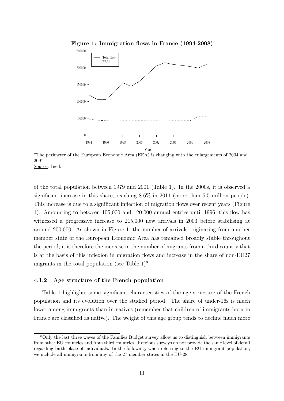

Figure 1: Immigration flows in France (1994-2008)

\*The perimeter of the European Economic Area (EEA) is changing with the enlargements of 2004 and 2007. Source: Ined.

of the total population between 1979 and 2001 (Table 1). In the 2000s, it is observed a significant increase in this share, reaching 8.6% in 2011 (more than 5.5 million people). This increase is due to a significant inflection of migration flows over recent years (Figure 1). Amounting to between 105,000 and 120,000 annual entries until 1996, this flow has witnessed a progressive increase to 215,000 new arrivals in 2003 before stabilising at around 200,000. As shown in Figure 1, the number of arrivals originating from another member state of the European Economic Area has remained broadly stable throughout the period; it is therefore the increase in the number of migrants from a third country that is at the basis of this inflexion in migration flows and increase in the share of non-EU27 migrants in the total population (see Table  $1)^8$ .

#### 4.1.2 Age structure of the French population

Table 1 highlights some significant characteristics of the age structure of the French population and its evolution over the studied period. The share of under-16s is much lower among immigrants than in natives (remember that children of immigrants born in France are classified as native). The weight of this age group tends to decline much more

<sup>8</sup>Only the last three waves of the Families Budget survey allow us to distinguish between immigrants from other EU countries and from third countries. Previous surveys do not provide the same level of detail regarding birth place of individuals. In the following, when referring to the EU immigrant population, we include all immigrants from any of the 27 member states in the EU-28.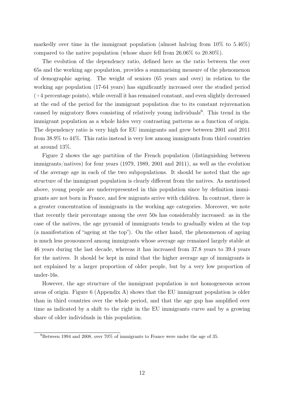markedly over time in the immigrant population (almost halving from  $10\%$  to  $5.46\%$ ) compared to the native population (whose share fell from 26.06% to 20.80%).

The evolution of the dependency ratio, defined here as the ratio between the over 65s and the working age population, provides a summarising measure of the phenomenon of demographic ageing. The weight of seniors (65 years and over) in relation to the working age population (17-64 years) has significantly increased over the studied period  $(+4$  percentage points), while overall it has remained constant, and even slightly decreased at the end of the period for the immigrant population due to its constant rejuvenation caused by migratory flows consisting of relatively young individuals<sup>9</sup>. This trend in the immigrant population as a whole hides very contrasting patterns as a function of origin. The dependency ratio is very high for EU immigrants and grew between 2001 and 2011 from 38.9% to 44%. This ratio instead is very low among immigrants from third countries at around 13%.

Figure 2 shows the age partition of the French population (distinguishing between immigrants/natives) for four years (1979, 1989, 2001 and 2011), as well as the evolution of the average age in each of the two subpopulations. It should be noted that the age structure of the immigrant population is clearly different from the natives. As mentioned above, young people are underrepresented in this population since by definition immigrants are not born in France, and few migrants arrive with children. In contrast, there is a greater concentration of immigrants in the working age categories. Moreover, we note that recently their percentage among the over 50s has considerably increased: as in the case of the natives, the age pyramid of immigrants tends to gradually widen at the top (a manifestation of "ageing at the top"). On the other hand, the phenomenon of ageing is much less pronounced among immigrants whose average age remained largely stable at 46 years during the last decade, whereas it has increased from 37.8 years to 39.4 years for the natives. It should be kept in mind that the higher average age of immigrants is not explained by a larger proportion of older people, but by a very low proportion of under-16s.

However, the age structure of the immigrant population is not homogeneous across areas of origin. Figure 6 (Appendix A) shows that the EU immigrant population is older than in third countries over the whole period, and that the age gap has amplified over time as indicated by a shift to the right in the EU immigrants curve and by a growing share of older individuals in this population.

 $^{9}$ Between 1994 and 2008, over 70% of immigrants to France were under the age of 35.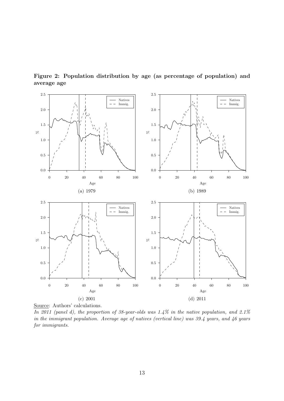

Figure 2: Population distribution by age (as percentage of population) and average age

Source: Authors' calculations.

In 2011 (panel d), the proportion of 38-year-olds was 1.4% in the native population, and 2.1% in the immigrant population. Average age of natives (vertical line) was 39.4 years, and 46 years for immigrants.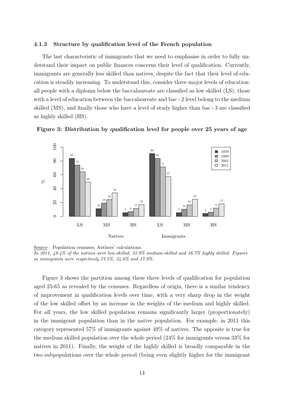#### 4.1.3 Structure by qualification level of the French population

The last characteristic of immigrants that we need to emphasise in order to fully understand their impact on public finances concerns their level of qualification. Currently, immigrants are generally less skilled than natives, despite the fact that their level of education is steadily increasing. To understand this, consider three major levels of education: all people with a diploma below the baccalaureate are classified as low skilled (LS); those with a level of education between the baccalaureate and  $bac+2$  level belong to the medium skilled (MS), and finally those who have a level of study higher than bac+3 are classified as highly skilled (HS).



Figure 3: Distribution by qualification level for people over 25 years of age

Source : Population censuses, Authors' calculations. In 2011, 49.4% of the natives were low-skilled, 33.9% medium-skilled and 16.7% highly skilled. Figures in immigrants were respectively 57.5%, 24.6% and 17.9%.

Figure 3 shows the partition among these three levels of qualification for population aged 25-65 as revealed by the censuses. Regardless of origin, there is a similar tendency of improvement in qualification levels over time, with a very sharp drop in the weight of the low skilled offset by an increase in the weights of the medium and highly skilled. For all years, the low skilled population remains significantly larger (proportionately) in the immigrant population than in the native population. For example, in 2011 this category represented 57% of immigrants against 49% of natives. The opposite is true for the medium skilled population over the whole period (24% for immigrants versus 33% for natives in 2011). Finally, the weight of the highly skilled is broadly comparable in the two subpopulations over the whole period (being even slightly higher for the immigrant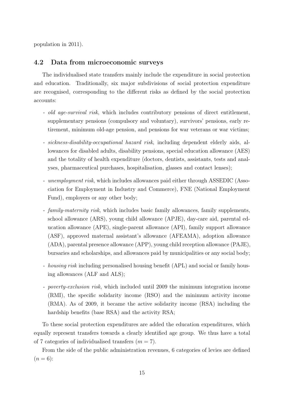population in 2011).

#### 4.2 Data from microeconomic surveys

The individualised state transfers mainly include the expenditure in social protection and education. Traditionally, six major subdivisions of social protection expenditure are recognised, corresponding to the different risks as defined by the social protection accounts:

- old age-survival risk, which includes contributory pensions of direct entitlement, supplementary pensions (compulsory and voluntary), survivors' pensions, early retirement, minimum old-age pension, and pensions for war veterans or war victims;
- sickness-disability-occupational hazard risk, including dependent elderly aids, allowances for disabled adults, disability pensions, special education allowance (AES) and the totality of health expenditure (doctors, dentists, assistants, tests and analyses, pharmaceutical purchases, hospitalisation, glasses and contact lenses);
- unemployment risk, which includes allowances paid either through ASSEDIC (Association for Employment in Industry and Commerce), FNE (National Employment Fund), employers or any other body;
- family-maternity risk, which includes basic family allowances, family supplements, school allowance (ARS), young child allowance (APJE), day-care aid, parental education allowance (APE), single-parent allowance (API), family support allowance (ASF), approved maternal assistant's allowance (AFEAMA), adoption allowance (ADA), parental presence allowance (APP), young child reception allowance (PAJE), bursaries and scholarships, and allowances paid by municipalities or any social body;
- *housing risk* including personalised housing benefit (APL) and social or family housing allowances (ALF and ALS);
- poverty-exclusion risk, which included until 2009 the minimum integration income (RMI), the specific solidarity income (RSO) and the minimum activity income (RMA). As of 2009, it became the active solidarity income (RSA) including the hardship benefits (base RSA) and the activity RSA;

To these social protection expenditures are added the education expenditures, which equally represent transfers towards a clearly identified age group. We thus have a total of 7 categories of individualised transfers  $(m = 7)$ .

From the side of the public administration revenues, 6 categories of levies are defined  $(n = 6)$ :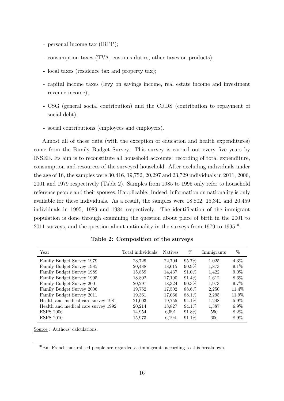- personal income tax (IRPP);
- consumption taxes (TVA, customs duties, other taxes on products);
- local taxes (residence tax and property tax);
- capital income taxes (levy on savings income, real estate income and investment revenue income);
- CSG (general social contribution) and the CRDS (contribution to repayment of social debt);
- social contributions (employees and employers).

Almost all of these data (with the exception of education and health expenditures) come from the Family Budget Survey. This survey is carried out every five years by INSEE. Its aim is to reconstitute all household accounts: recording of total expenditure, consumption and resources of the surveyed household. After excluding individuals under the age of 16, the samples were 30,416, 19,752, 20,297 and 23,729 individuals in 2011, 2006, 2001 and 1979 respectively (Table 2). Samples from 1985 to 1995 only refer to household reference people and their spouses, if applicable. Indeed, information on nationality is only available for these individuals. As a result, the samples were 18,802, 15,341 and 20,459 individuals in 1995, 1989 and 1984 respectively. The identification of the immigrant population is done through examining the question about place of birth in the 2001 to 2011 surveys, and the question about nationality in the surveys from 1979 to 1995<sup>10</sup>.

| Year                                | Total individuals | <b>Natives</b> | %        | Immigrants | %       |
|-------------------------------------|-------------------|----------------|----------|------------|---------|
| Family Budget Survey 1979           | 23,729            | 22,704         | 95.7%    | 1,025      | $4.3\%$ |
| Family Budget Survey 1985           | 20,488            | 18,615         | $90.9\%$ | 1,873      | $9.1\%$ |
| Family Budget Survey 1989           | 15,859            | 14,437         | 91.0\%   | 1,422      | $9.0\%$ |
| Family Budget Survey 1995           | 18,802            | 17,190         | $91.4\%$ | 1,612      | $8.6\%$ |
| Family Budget Survey 2001           | 20,297            | 18,324         | $90.3\%$ | 1,973      | 9.7%    |
| Family Budget Survey 2006           | 19,752            | 17,502         | 88.6%    | 2,250      | 11.4\%  |
| Family Budget Survey 2011           | 19,361            | 17,066         | 88.1\%   | 2,295      | 11.9%   |
| Health and medical care survey 1981 | 21,003            | 19,755         | 94.1\%   | 1.248      | $5.9\%$ |
| Health and medical care survey 1992 | 20,214            | 18,827         | 94.1\%   | 1,387      | $6.9\%$ |
| <b>ESPS 2006</b>                    | 14,954            | 6,591          | 91.8%    | 590        | $8.2\%$ |
| <b>ESPS 2010</b>                    | 15,973            | 6,194          | 91.1\%   | 606        | 8.9%    |

Table 2: Composition of the surveys

Source : Authors' calculations.

 $10$ But French naturalised people are regarded as immigrants according to this breakdown.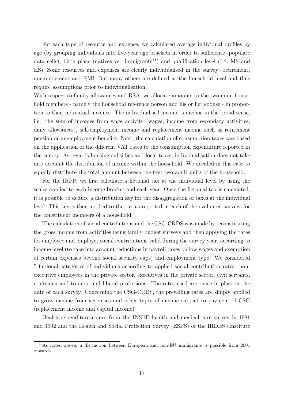For each type of resource and expense, we calculated average individual profiles by age (by grouping individuals into five-year age brackets in order to sufficiently populate data cells), birth place (natives vs. immigrants<sup>11</sup>) and qualification level  $(LS, MS, and)$ HS). Some resources and expenses are clearly individualised in the survey: retirement, unemployment and RMI. But many others are defined at the household level and thus require assumptions prior to individualisation.

With respect to family allowances and RSA, we allocate amounts to the two main household members - namely the household reference person and his or her spouse - in proportion to their individual incomes. The individualised income is income in the broad sense, i.e. the sum of incomes from wage activity (wages, income from secondary activities, daily allowances), self-employment income and replacement income such as retirement pension or unemployment benefits. Next, the calculation of consumption taxes was based on the application of the different VAT rates to the consumption expenditure reported in the survey. As regards housing subsidies and local taxes, individualisation does not take into account the distribution of income within the household. We decided in this case to equally distribute the total amount between the first two adult units of the household.

For the IRPP, we first calculate a fictional tax at the individual level by using the scales applied to each income bracket and each year. Once the fictional tax is calculated, it is possible to deduce a distribution key for the disaggregation of taxes at the individual level. This key is then applied to the tax as reported in each of the evaluated surveys for the constituent members of a household.

The calculation of social contributions and the CSG-CRDS was made by reconstituting the gross income from activities using family budget surveys and then applying the rates for employee and employer social contributions valid during the survey year, according to income level (to take into account reductions in payroll taxes on low wages and exemption of certain expenses beyond social security caps) and employment type. We considered 5 fictional categories of individuals according to applied social contribution rates: nonexecutive employees in the private sector, executives in the private sector, civil servants, craftsmen and traders, and liberal professions. The rates used are those in place at the date of each survey. Concerning the CSG-CRDS, the prevailing rates are simply applied to gross income from activities and other types of income subject to payment of CSG (replacement income and capital income).

Health expenditure comes from the INSEE health and medical care survey in 1981 and 1992 and the Health and Social Protection Survey (ESPS) of the IRDES (Institute

<sup>11</sup>As noted above, a distinction between European and non-EU immigrants is possible from 2001 onwards.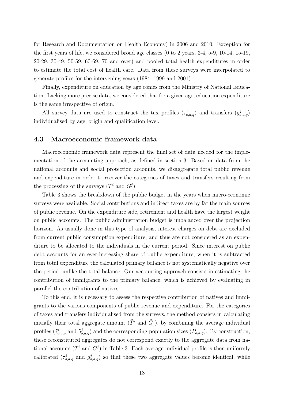for Research and Documentation on Health Economy) in 2006 and 2010. Exception for the first years of life, we considered broad age classes (0 to 2 years, 3-4, 5-9, 10-14, 15-19, 20-29, 30-49, 50-59, 60-69, 70 and over) and pooled total health expenditures in order to estimate the total cost of health care. Data from these surveys were interpolated to generate profiles for the intervening years (1984, 1999 and 2001).

Finally, expenditure on education by age comes from the Ministry of National Education. Lacking more precise data, we considered that for a given age, education expenditure is the same irrespective of origin.

All survey data are used to construct the tax profiles  $(\tilde{\tau}_{o,a,q}^i)$  and transfers  $(\tilde{g}_{o,a,q}^j)$ individualised by age, origin and qualification level.

#### 4.3 Macroeconomic framework data

Macroeconomic framework data represent the final set of data needed for the implementation of the accounting approach, as defined in section 3. Based on data from the national accounts and social protection accounts, we disaggregate total public revenue and expenditure in order to recover the categories of taxes and transfers resulting from the processing of the surveys  $(T^i \text{ and } G^j)$ .

Table 3 shows the breakdown of the public budget in the years when micro-economic surveys were available. Social contributions and indirect taxes are by far the main sources of public revenue. On the expenditure side, retirement and health have the largest weight on public accounts. The public administration budget is unbalanced over the projection horizon. As usually done in this type of analysis, interest charges on debt are excluded from current public consumption expenditure, and thus are not considered as an expenditure to be allocated to the individuals in the current period. Since interest on public debt accounts for an ever-increasing share of public expenditure, when it is subtracted from total expenditure the calculated primary balance is not systematically negative over the period, unlike the total balance. Our accounting approach consists in estimating the contribution of immigrants to the primary balance, which is achieved by evaluating in parallel the contribution of natives.

To this end, it is necessary to assess the respective contribution of natives and immigrants to the various components of public revenue and expenditure. For the categories of taxes and transfers individualised from the surveys, the method consists in calculating initially their total aggregate amount  $(\tilde{T}^i$  and  $\tilde{G}^j)$ , by combining the average individual profiles  $(\tilde{\tau}_{o,a,q}^i)$  and the corresponding population sizes  $(P_{o,a,q})$ . By construction, these reconstituted aggregates do not correspond exactly to the aggregate data from national accounts ( $T^i$  and  $G^j$ ) in Table 3. Each average individual profile is then uniformly calibrated  $(\tau_{o,a,q}^i)$  and  $g_{o,a,q}^j$  so that these two aggregate values become identical, while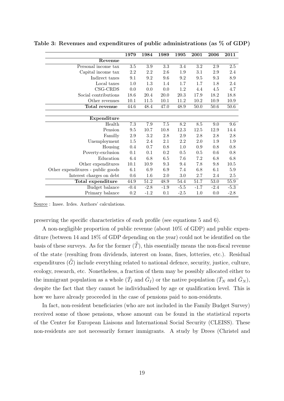|                                   | 1979             | 1984             | 1989             | 1995    | 2001     | 2006     | 2011    |
|-----------------------------------|------------------|------------------|------------------|---------|----------|----------|---------|
| Revenue                           |                  |                  |                  |         |          |          |         |
| Personal income tax               | $3.5\,$          | $3.9\,$          | 3.3              | 3.4     | 3.2      | 2.9      | 2.5     |
| Capital income tax                | 2.2              | 2.2              | 2.6              | 1.9     | 3.1      | 2.9      | 2.4     |
| Indirect taxes                    | 9.1              | 9.2              | 9.6              | 9.2     | 9.5      | 9.3      | 8.9     |
| Local taxes                       | 1.0              | 1.3              | 1.4              | 1.7     | 1.7      | 1.8      | 2.4     |
| $CSG-CRDS$                        | 0.0              | 0.0              | 0.0              | 1.2     | 4.4      | 4.5      | 4.7     |
| Social contributions              | 18.6             | 20.4             | $20.0\,$         | 20.3    | 17.9     | 18.2     | 18.8    |
| Other revenues                    | 10.1             | 11.5             | $10.1\,$         | 11.2    | 10.2     | 10.9     | 10.9    |
| Total revenue                     | 44.6             | 48.4             | 47.0             | 48.9    | $50.0\,$ | $50.6\,$ | 50.6    |
|                                   |                  |                  |                  |         |          |          |         |
| Expenditure                       |                  |                  |                  |         |          |          |         |
| Health                            | $\overline{7.3}$ | $\overline{7.9}$ | $\overline{7.5}$ | 8.2     | 8.5      | 9.0      | 9.6     |
| Pension                           | $\,9.5$          | 10.7             | 10.8             | 12.3    | 12.5     | 12.9     | 14.4    |
| Familly                           | $2.9\,$          | 3.2              | 2.8              | 2.9     | 2.8      | 2.8      | 2.8     |
| Unemployment                      | 1.5              | 2.4              | 2.1              | 2.2     | 2.0      | 1.9      | 1.9     |
| Housing                           | 0.4              | 0.7              | 0.8              | $1.0\,$ | 0.9      | 0.8      | 0.8     |
| Poverty-exclusion                 | 0.1              | 0.1              | $0.2\,$          | $0.5\,$ | 0.5      | 0.6      | 0.8     |
| Education                         | 6.4              | 6.8              | $6.5\,$          | 7.6     | 7.2      | 6.8      | 6.8     |
| Other expenditures                | 10.1             | 10.9             | 9.3              | 9.4     | 7.8      | 9.8      | 10.5    |
| Other expenditures - public goods | 6.1              | 6.9              | 6.9              | 7.4     | 6.8      | 6.1      | $5.9\,$ |
| Interest charges on debt          | $0.6\,$          | 1.6              | $2.0\,$          | $3.0\,$ | 2.7      | 2.4      | $2.5\,$ |
| Total expenditure                 | 44.9             | 51.2             | 48.9             | 54.4    | 51.7     | 53.0     | 55.9    |
| Budget balance                    | $-0.4$           | $-2.8$           | $-1.9$           | $-5.5$  | $-1.7$   | $-2.4$   | $-5.3$  |
| Primary balance                   | $0.2\,$          | $-1.2$           | 0.1              | $-2.5$  | 1.0      | 0.0      | $-2.8$  |

Table 3: Revenues and expenditures of public administrations (as % of GDP)

Source : Insee. Irdes. Authors' calculations.

preserving the specific characteristics of each profile (see equations 5 and 6).

A non-negligible proportion of public revenue (about 10% of GDP) and public expenditure (between 14 and 18% of GDP depending on the year) could not be identified on the basis of these surveys. As for the former  $(\bar{\bar{T}})$ , this essentially means the non-fiscal revenue of the state (resulting from dividends, interest on loans, fines, lotteries, etc.). Residual expenditures  $(\bar{\bar{G}})$  include everything related to national defence, security, justice, culture, ecology, research, etc. Nonetheless, a fraction of them may be possibly allocated either to the immigrant population as a whole  $(\bar{T}_I$  and  $\bar{G}_I)$  or the native population  $(\bar{T}_N$  and  $\bar{G}_N)$ , despite the fact that they cannot be individualised by age or qualification level. This is how we have already proceeded in the case of pensions paid to non-residents.

In fact, non-resident beneficiaries (who are not included in the Family Budget Survey) received some of those pensions, whose amount can be found in the statistical reports of the Center for European Liaisons and International Social Security (CLEISS). These non-residents are not necessarily former immigrants. A study by Drees (Christel and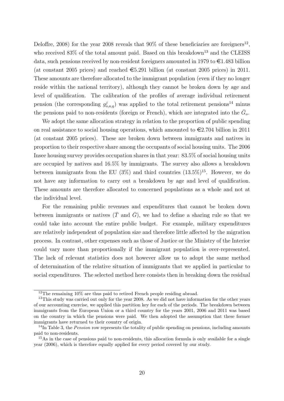Deloffre, 2008) for the year 2008 reveals that  $90\%$  of these beneficiaries are foreigners<sup>12</sup>, who received  $83\%$  of the total amount paid. Based on this breakdown<sup>13</sup> and the CLEISS data, such pensions received by non-resident foreigners amounted in 1979 to  $\in 1.483$  billion (at constant 2005 prices) and reached  $\epsilon$ 5.291 billion (at constant 2005 prices) in 2011. These amounts are therefore allocated to the immigrant population (even if they no longer reside within the national territory), although they cannot be broken down by age and level of qualification. The calibration of the profiles of average individual retirement pension (the corresponding  $g_{o,a,q}^j$ ) was applied to the total retirement pensions<sup>14</sup> minus the pensions paid to non-residents (foreign or French), which are integrated into the  $\bar{G}_o$ .

We adopt the same allocation strategy in relation to the proportion of public spending on real assistance to social housing operations, which amounted to  $\epsilon$ 2.704 billion in 2011 (at constant 2005 prices). These are broken down between immigrants and natives in proportion to their respective share among the occupants of social housing units. The 2006 Insee housing survey provides occupation shares in that year: 83.5% of social housing units are occupied by natives and 16.5% by immigrants. The survey also allows a breakdown between immigrants from the EU (3%) and third countries  $(13.5\%)^{15}$ . However, we do not have any information to carry out a breakdown by age and level of qualification. These amounts are therefore allocated to concerned populations as a whole and not at the individual level.

For the remaining public revenues and expenditures that cannot be broken down between immigrants or natives  $(\bar{T} \text{ and } \bar{G})$ , we had to define a sharing rule so that we could take into account the entire public budget. For example, military expenditures are relatively independent of population size and therefore little affected by the migration process. In contrast, other expenses such as those of Justice or the Ministry of the Interior could vary more than proportionally if the immigrant population is over-represented. The lack of relevant statistics does not however allow us to adopt the same method of determination of the relative situation of immigrants that we applied in particular to social expenditures. The selected method here consists then in breaking down the residual

<sup>12</sup>The remaining 10% are thus paid to retired French people residing abroad.

<sup>&</sup>lt;sup>13</sup>This study was carried out only for the year 2008. As we did not have information for the other years of our accounting exercise, we applied this partition key for each of the periods. The breakdown between immigrants from the European Union or a third country for the years 2001, 2006 and 2011 was based on the country in which the pensions were paid. We then adopted the assumption that these former immigrants have returned to their country of origin.

 $14$ In Table 3, the *Pension* row represents the totality of public spending on pensions, including amounts paid to non-residents.

<sup>&</sup>lt;sup>15</sup>As in the case of pensions paid to non-residents, this allocation formula is only available for a single year (2006), which is therefore equally applied for every period covered by our study.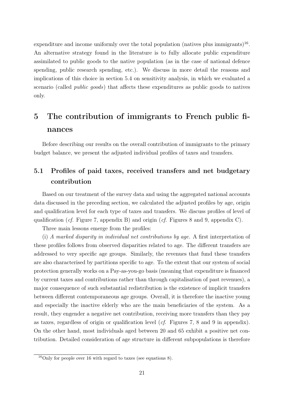expenditure and income uniformly over the total population (natives plus immigrants)<sup>16</sup>. An alternative strategy found in the literature is to fully allocate public expenditure assimilated to public goods to the native population (as in the case of national defence spending, public research spending, etc.). We discuss in more detail the reasons and implications of this choice in section 5.4 on sensitivity analysis, in which we evaluated a scenario (called public goods) that affects these expenditures as public goods to natives only.

## 5 The contribution of immigrants to French public finances

Before describing our results on the overall contribution of immigrants to the primary budget balance, we present the adjusted individual profiles of taxes and transfers.

## 5.1 Profiles of paid taxes, received transfers and net budgetary contribution

Based on our treatment of the survey data and using the aggregated national accounts data discussed in the preceding section, we calculated the adjusted profiles by age, origin and qualification level for each type of taxes and transfers. We discuss profiles of level of qualification (*cf.* Figure 7, appendix B) and origin (*cf.* Figures 8 and 9, appendix C).

Three main lessons emerge from the profiles:

(i) A marked disparity in individual net contributions by age. A first interpretation of these profiles follows from observed disparities related to age. The different transfers are addressed to very specific age groups. Similarly, the revenues that fund these transfers are also characterised by partitions specific to age. To the extent that our system of social protection generally works on a Pay-as-you-go basis (meaning that expenditure is financed by current taxes and contributions rather than through capitalisation of past revenues), a major consequence of such substantial redistribution is the existence of implicit transfers between different contemporaneous age groups. Overall, it is therefore the inactive young and especially the inactive elderly who are the main beneficiaries of the system. As a result, they engender a negative net contribution, receiving more transfers than they pay as taxes, regardless of origin or qualification level (cf. Figures 7, 8 and 9 in appendix). On the other hand, most individuals aged between 20 and 65 exhibit a positive net contribution. Detailed consideration of age structure in different subpopulations is therefore

<sup>&</sup>lt;sup>16</sup>Only for people over 16 with regard to taxes (see equations 8).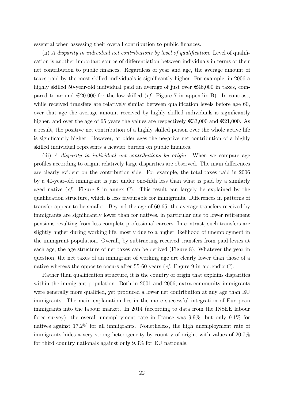essential when assessing their overall contribution to public finances.

(ii) A disparity in individual net contributions by level of qualification. Level of qualification is another important source of differentiation between individuals in terms of their net contribution to public finances. Regardless of year and age, the average amount of taxes paid by the most skilled individuals is significantly higher. For example, in 2006 a highly skilled 50-year-old individual paid an average of just over  $\epsilon$ 46,000 in taxes, compared to around  $\epsilon$ 20,000 for the low-skilled (*cf.* Figure 7 in appendix B). In contrast, while received transfers are relatively similar between qualification levels before age 60, over that age the average amount received by highly skilled individuals is significantly higher, and over the age of 65 years the values are respectively  $\epsilon$ 33,000 and  $\epsilon$ 21,000. As a result, the positive net contribution of a highly skilled person over the whole active life is significantly higher. However, at older ages the negative net contribution of a highly skilled individual represents a heavier burden on public finances.

(iii) A disparity in individual net contributions by origin. When we compare age profiles according to origin, relatively large disparities are observed. The main differences are clearly evident on the contribution side. For example, the total taxes paid in 2006 by a 40-year-old immigrant is just under one-fifth less than what is paid by a similarly aged native (cf. Figure 8 in annex C). This result can largely be explained by the qualification structure, which is less favourable for immigrants. Differences in patterns of transfer appear to be smaller. Beyond the age of 60-65, the average transfers received by immigrants are significantly lower than for natives, in particular due to lower retirement pensions resulting from less complete professional careers. In contrast, such transfers are slightly higher during working life, mostly due to a higher likelihood of unemployment in the immigrant population. Overall, by subtracting received transfers from paid levies at each age, the age structure of net taxes can be derived (Figure 8). Whatever the year in question, the net taxes of an immigrant of working age are clearly lower than those of a native whereas the opposite occurs after 55-60 years (*cf.* Figure 9 in appendix C).

Rather than qualification structure, it is the country of origin that explains disparities within the immigrant population. Both in 2001 and 2006, extra-community immigrants were generally more qualified, yet produced a lower net contribution at any age than EU immigrants. The main explanation lies in the more successful integration of European immigrants into the labour market. In 2014 (according to data from the INSEE labour force survey), the overall unemployment rate in France was 9.9%, but only 9.1% for natives against 17.2% for all immigrants. Nonetheless, the high unemployment rate of immigrants hides a very strong heterogeneity by country of origin, with values of 20.7% for third country nationals against only 9.3% for EU nationals.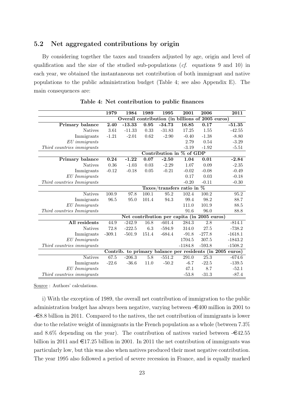#### 5.2 Net aggregated contributions by origin

By considering together the taxes and transfers adjusted by age, origin and level of qualification and the size of the studied sub-populations (cf. equations 9 and 10) in each year, we obtained the instantaneous net contribution of both immigrant and native populations to the public administration budget (Table 4; see also Appendix E). The main consequences are:

|                            | 1979              | 1984     | 1989              | 1995     | 2001                                             | 2006              | 2011                                                      |
|----------------------------|-------------------|----------|-------------------|----------|--------------------------------------------------|-------------------|-----------------------------------------------------------|
|                            |                   |          |                   |          | Overall contribution (in billions of 2005 euros) |                   |                                                           |
| Primary balance            | 2.40              | $-13.33$ | 0.95              | $-34.73$ | 16.85                                            | 0.17              | $-51.35$                                                  |
| <b>Natives</b>             | 3.61              | $-11.33$ | 0.33              | $-31.83$ | 17.25                                            | 1.55              | $-42.55$                                                  |
| Immigrants                 | $-1.21$           | $-2.01$  | 0.62              | $-2.90$  | $-0.40$                                          | $-1.38$           | $-8.80$                                                   |
| $EU\,$ immigrants          |                   |          |                   |          | 2.79                                             | 0.54              | $-3.29$                                                   |
| Third countries immigrants |                   |          |                   |          | $-3.19$                                          | $-1.92$           | $-5.51$                                                   |
|                            |                   |          |                   |          | Contribution in % of GDP                         |                   |                                                           |
| Primary balance            | $\overline{0.24}$ | $-1.22$  | 0.07              | $-2.50$  | 1.04                                             | $\overline{0.01}$ | $-2.84$                                                   |
| <b>Natives</b>             | 0.36              | $-1.03$  | 0.03              | $-2.29$  | 1.07                                             | 0.09              | $-2.35$                                                   |
| Immigrants                 | $-0.12$           | $-0.18$  | 0.05              | $-0.21$  | $-0.02$                                          | $-0.08$           | $-0.49$                                                   |
| $EU\; Immigrams$           |                   |          |                   |          | 0.17                                             | 0.03              | $-0.18$                                                   |
| Third countries Immigrants |                   |          |                   |          | $-0.20$                                          | $-0.11$           | $-0.30$                                                   |
|                            |                   |          |                   |          | Taxes/transfers ratio in $%$                     |                   |                                                           |
| <b>Natives</b>             | 100.9             | 97.8     | 100.1             | 95.2     | 102.4                                            | 100.2             | 95.2                                                      |
| Immigrants                 | 96.5              | 95.0     | 101.4             | 94.3     | 99.4                                             | 98.2              | 88.7                                                      |
| $EU\; Immigrams$           |                   |          |                   |          | 111.0                                            | 101.9             | 88.5                                                      |
| Third countries Immigrants |                   |          |                   |          | 91.6                                             | 96.0              | 88.8                                                      |
|                            |                   |          |                   |          | Net contribution per capita (in 2005 euros)      |                   |                                                           |
| All residents              | 44.9              | $-242.9$ | $\overline{16.8}$ | $-601.4$ | 284.3                                            | 2.8               | $-814.1$                                                  |
| <b>Natives</b>             | 72.8              | $-222.5$ | 6.3               | $-594.9$ | 314.0                                            | 27.5              | $-738.2$                                                  |
| Immigrants                 | $-309.1$          | $-501.9$ | 151.4             | $-684.4$ | $-91.8$                                          | $-277.8$          | $-1618.1$                                                 |
| $EU\; Immigrams$           |                   |          |                   |          | 1704.5                                           | 307.5             | $-1843.2$                                                 |
| Third countries immigrants |                   |          |                   |          | $-1184.8$                                        | $-593.8$          | $-1508.2$                                                 |
|                            |                   |          |                   |          |                                                  |                   | Contrib. to primary balance per residents (in 2005 euros) |
| <b>Natives</b>             | 67.5              | $-206.3$ | $\overline{5.8}$  | $-551.2$ | $\overline{291.0}$                               | $\overline{25.3}$ | $-674.6$                                                  |
| Immigrants                 | $-22.6$           | $-36.6$  | 11.0              | $-50.2$  | $-6.7$                                           | $-22.5$           | $-139.5$                                                  |
| $EU\; Immigrams$           |                   |          |                   |          | 47.1                                             | 8.7               | $-52.1$                                                   |
| Third countries immigrants |                   |          |                   |          | $-53.8$                                          | $-31.3$           | $-87.4$                                                   |

Table 4: Net contribution to public finances

Source : Authors' calculations.

i) With the exception of 1989, the overall net contribution of immigration to the public administration budget has always been negative, varying between  $-\epsilon 400$  million in 2001 to  $-\epsilon$ 8.8 billion in 2011. Compared to the natives, the net contribution of immigrants is lower due to the relative weight of immigrants in the French population as a whole (between 7.3% and 8.6% depending on the year). The contribution of natives varied between  $-\epsilon$ 42.55 billion in 2011 and  $\epsilon$ 17.25 billion in 2001. In 2011 the net contribution of immigrants was particularly low, but this was also when natives produced their most negative contribution. The year 1995 also followed a period of severe recession in France, and is equally marked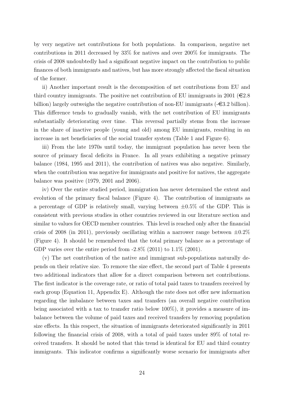by very negative net contributions for both populations. In comparison, negative net contributions in 2011 decreased by 33% for natives and over 200% for immigrants. The crisis of 2008 undoubtedly had a significant negative impact on the contribution to public finances of both immigrants and natives, but has more strongly affected the fiscal situation of the former.

ii) Another important result is the decomposition of net contributions from EU and third country immigrants. The positive net contribution of EU immigrants in 2001 ( $\in 2.8$ ) billion) largely outweighs the negative contribution of non-EU immigrants  $(-\epsilon 3.2 \text{ billion})$ . This difference tends to gradually vanish, with the net contribution of EU immigrants substantially deteriorating over time. This reversal partially stems from the increase in the share of inactive people (young and old) among EU immigrants, resulting in an increase in net beneficiaries of the social transfer system (Table 1 and Figure 6).

iii) From the late 1970s until today, the immigrant population has never been the source of primary fiscal deficits in France. In all years exhibiting a negative primary balance (1984, 1995 and 2011), the contribution of natives was also negative. Similarly, when the contribution was negative for immigrants and positive for natives, the aggregate balance was positive (1979, 2001 and 2006).

iv) Over the entire studied period, immigration has never determined the extent and evolution of the primary fiscal balance (Figure 4). The contribution of immigrants as a percentage of GDP is relatively small, varying between  $\pm 0.5\%$  of the GDP. This is consistent with previous studies in other countries reviewed in our literature section and similar to values for OECD member countries. This level is reached only after the financial crisis of 2008 (in 2011), previously oscillating within a narrower range between  $\pm 0.2\%$ (Figure 4). It should be remembered that the total primary balance as a percentage of GDP varies over the entire period from  $-2.8\%$  (2011) to  $1.1\%$  (2001).

(v) The net contribution of the native and immigrant sub-populations naturally depends on their relative size. To remove the size effect, the second part of Table 4 presents two additional indicators that allow for a direct comparison between net contributions. The first indicator is the coverage rate, or ratio of total paid taxes to transfers received by each group (Equation 11, Appendix E). Although the rate does not offer new information regarding the imbalance between taxes and transfers (an overall negative contribution being associated with a tax to transfer ratio below 100%), it provides a measure of imbalance between the volume of paid taxes and received transfers by removing population size effects. In this respect, the situation of immigrants deteriorated significantly in 2011 following the financial crisis of 2008, with a total of paid taxes under 89% of total received transfers. It should be noted that this trend is identical for EU and third country immigrants. This indicator confirms a significantly worse scenario for immigrants after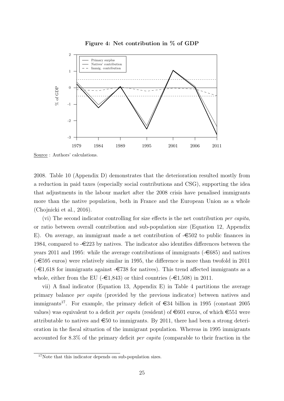

Figure 4: Net contribution in % of GDP

Source : Authors' calculations.

2008. Table 10 (Appendix D) demonstrates that the deterioration resulted mostly from a reduction in paid taxes (especially social contributions and CSG), supporting the idea that adjustments in the labour market after the 2008 crisis have penalised immigrants more than the native population, both in France and the European Union as a whole (Chojnicki et al., 2016).

(vi) The second indicator controlling for size effects is the net contribution per capita, or ratio between overall contribution and sub-population size (Equation 12, Appendix E). On average, an immigrant made a net contribution of  $-\epsilon 502$  to public finances in 1984, compared to  $-\epsilon 223$  by natives. The indicator also identifies differences between the years 2011 and 1995: while the average contributions of immigrants  $(-6885)$  and natives  $(-\epsilon)$  euros) were relatively similar in 1995, the difference is more than twofold in 2011  $(-\epsilon 1,618$  for immigrants against  $-\epsilon 738$  for natives). This trend affected immigrants as a whole, either from the EU ( $-\epsilon$ 1,843) or third countries ( $-\epsilon$ 1,508) in 2011.

vii) A final indicator (Equation 13, Appendix E) in Table 4 partitions the average primary balance per capita (provided by the previous indicator) between natives and immigrants<sup>17</sup>. For example, the primary deficit of  $\epsilon$ 34 billion in 1995 (constant 2005) values) was equivalent to a deficit *per capita* (resident) of  $\epsilon$ 601 euros, of which  $\epsilon$ 551 were attributable to natives and  $\epsilon$ 50 to immigrants. By 2011, there had been a strong deterioration in the fiscal situation of the immigrant population. Whereas in 1995 immigrants accounted for 8.3% of the primary deficit per capita (comparable to their fraction in the

<sup>&</sup>lt;sup>17</sup>Note that this indicator depends on sub-population sizes.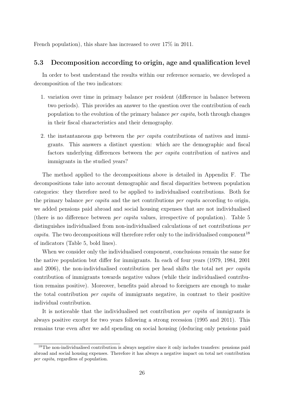French population), this share has increased to over  $17\%$  in 2011.

#### 5.3 Decomposition according to origin, age and qualification level

In order to best understand the results within our reference scenario, we developed a decomposition of the two indicators:

- 1. variation over time in primary balance per resident (difference in balance between two periods). This provides an answer to the question over the contribution of each population to the evolution of the primary balance per capita, both through changes in their fiscal characteristics and their demography.
- 2. the instantaneous gap between the per capita contributions of natives and immigrants. This answers a distinct question: which are the demographic and fiscal factors underlying differences between the per capita contribution of natives and immigrants in the studied years?

The method applied to the decompositions above is detailed in Appendix F. The decompositions take into account demographic and fiscal disparities between population categories: they therefore need to be applied to individualised contributions. Both for the primary balance *per capita* and the net contributions *per capita* according to origin, we added pensions paid abroad and social housing expenses that are not individualised (there is no difference between per capita values, irrespective of population). Table 5 distinguishes individualised from non-individualised calculations of net contributions per *capita*. The two decompositions will therefore refer only to the individualised component<sup>18</sup> of indicators (Table 5, bold lines).

When we consider only the individualised component, conclusions remain the same for the native population but differ for immigrants. In each of four years (1979, 1984, 2001 and 2006), the non-individualised contribution per head shifts the total net per capita contribution of immigrants towards negative values (while their individualised contribution remains positive). Moreover, benefits paid abroad to foreigners are enough to make the total contribution per capita of immigrants negative, in contrast to their positive individual contribution.

It is noticeable that the individualised net contribution per capita of immigrants is always positive except for two years following a strong recession (1995 and 2011). This remains true even after we add spending on social housing (deducing only pensions paid

<sup>&</sup>lt;sup>18</sup>The non-individualised contribution is always negative since it only includes transfers: pensions paid abroad and social housing expenses. Therefore it has always a negative impact on total net contribution per capita, regardless of population.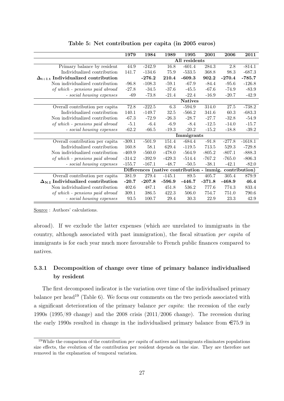|                                              | 1979               | 1984     | 1989     | 1995                     | 2001     | 2006     | 2011          |
|----------------------------------------------|--------------------|----------|----------|--------------------------|----------|----------|---------------|
|                                              |                    |          |          | All residents            |          |          |               |
| Primary balance by resident                  | 44.9               | $-242.9$ | 16.8     | $-601.4$                 | 284.3    | 2.8      | $-814.1$      |
| Individualized contribution                  | 141.7              | $-134.6$ | 75.9     | $-533.5$                 | 368.8    | 98.3     | $-687.3$      |
| $\Delta_{t+1,t}$ Individualized contribution |                    | $-276.2$ | 210.4    | $-609.3$                 | 902.2    | $-270.4$ | $-785.7$      |
| Non individualized contribution              | $-96.8$            | $-108.3$ | $-59.1$  | $-67.9$                  | $-84.4$  | $-95.6$  | $-126.8$      |
| of which - pensions paid abroad              | $-27.8$            | $-34.5$  | $-37.6$  | $-45.5$                  | $-67.6$  | $-74.9$  | $-83.9$       |
| - social housing expenses                    | $-69$              | $-73.8$  | $-21.4$  | $-22.4$                  | $-16.9$  | $-20.7$  | $-42.9$       |
|                                              |                    |          |          | <b>Natives</b>           |          |          |               |
| Overall contribution per capita              | 72.8               | $-222.5$ | 6.3      | $-594.9$                 | 314.0    | 27.5     | $-738.2$      |
| Individualized contribution                  | 140.1              | $-149.7$ | 32.5     | $-566.2$                 | 341.6    | 60.3     | $-683.3$      |
| Non individualized contribution              | $-67.3$            | $-72.9$  | $-26.3$  | $-28.7$                  | $-27.7$  | $-32.8$  | $-54.9$       |
| of which - pensions paid abroad              | $-5.1$             | $-6.4$   | $-6.9$   | $-8.4$                   | $-12.5$  | $-14.0$  | $-15.7$       |
| - social housing expenses                    | $-62.2$            | $-66.5$  | $-19.3$  | $-20.2$                  | $-15.2$  | $-18.8$  | $-39.2$       |
|                                              |                    |          |          | Immigrants               |          |          |               |
| Overall contribution per capita              | $-309.1$           | $-501.9$ | 151.4    | $-684.4$                 | $-91.8$  | $-277.8$ | $-1618.1$     |
| Individualized contribution                  | 160.8              | 58.1     | 629.4    | $-119.5$                 | 713.5    | 529.3    | $-729.8$      |
| Non individualized contribution              | $-469.9$           | $-560.0$ | $-478.0$ | $-564.9$                 | $-805.2$ | $-807.1$ | $-888.3$      |
| of which - pensions paid abroad              | $-314.2$           | $-392.9$ | $-429.3$ | $-514.4$                 | $-767.2$ | $-765.0$ | $-806.3$      |
| - social housing expenses                    | $-155.7$           | $-167.1$ | $-48.7$  | $-50.5$                  | $-38.1$  | $-42.1$  | $-82.0$       |
|                                              | <b>Differences</b> |          |          | $(native contribution -$ | immig.   |          | contribution) |
| Overall contribution per capita              | 381.9              | 279.4    | $-145.1$ | 89.5                     | 405.7    | 305.4    | 879.9         |
| $\Delta_{N,I}$ Individualized contribution   | $-20.7$            | $-207.8$ | $-596.9$ | $-446.7$                 | $-371.8$ | $-468.9$ | 46.4          |
| Non individualized contribution              | 402.6              | 487.1    | 451.8    | 536.2                    | 777.6    | 774.3    | 833.4         |
| of which - pensions paid abroad              | 309.1              | 386.5    | 422.3    | 506.0                    | 754.7    | 751.0    | 790.6         |
| - social housing expenses                    | 93.5               | 100.7    | 29.4     | $30.3\,$                 | 22.9     | $23.3\,$ | 42.9          |

Table 5: Net contribution per capita (in 2005 euros)

Source : Authors' calculations.

abroad). If we exclude the latter expenses (which are unrelated to immigrants in the country, although associated with past immigration), the fiscal situation *per capita* of immigrants is for each year much more favourable to French public finances compared to natives.

### 5.3.1 Decomposition of change over time of primary balance individualised by resident

The first decomposed indicator is the variation over time of the individualised primary balance per head<sup>19</sup> (Table 6). We focus our comments on the two periods associated with a significant deterioration of the primary balance per capita: the recession of the early 1990s (1995/89 change) and the 2008 crisis (2011/2006 change). The recession during the early 1990s resulted in change in the individualised primary balance from  $\epsilon$ 75.9 in

<sup>&</sup>lt;sup>19</sup>While the comparison of the contribution *per capita* of natives and immigrants eliminates populations size effects, the evolution of the contribution per resident depends on the size. They are therefore not removed in the explanation of temporal variation.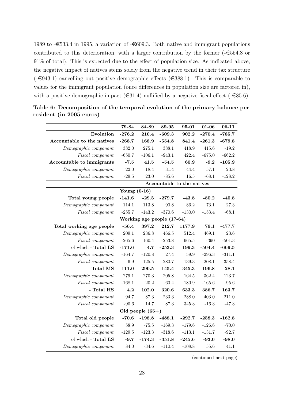1989 to  $-\epsilon$ 533.4 in 1995, a variation of  $-\epsilon$ 609.3. Both native and immigrant populations contributed to this deterioration, with a larger contribution by the former  $(-\epsilon)554.8$  or 91% of total). This is expected due to the effect of population size. As indicated above, the negative impact of natives stems solely from the negative trend in their tax structure  $(-\epsilon 943.1)$  cancelling out positive demographic effects  $(\epsilon 388.1)$ . This is comparable to values for the immigrant population (once differences in population size are factored in), with a positive demographic impact ( $\in$ 31.4) nullified by a negative fiscal effect ( $\in$ 85.6).

|                            | 79-84          | 84-89              | 89-95    | 95-01                      | $01 - 06$ | $06 - 11$ |  |  |  |  |  |
|----------------------------|----------------|--------------------|----------|----------------------------|-----------|-----------|--|--|--|--|--|
| Evolution                  | $-276.2$       | 210.4              | $-609.3$ | 902.2                      | $-270.4$  | $-785.7$  |  |  |  |  |  |
| Accountable to the natives | $-268.7$       | 168.9              | $-554.8$ | 841.4                      | $-261.3$  | $-679.8$  |  |  |  |  |  |
| Demographic componant      | 382.0          | 275.1              | 388.1    | 418.9                      | 415.6     | $-19.2$   |  |  |  |  |  |
| Fiscal componant           | $-650.7$       | $-106.1$           | $-943.1$ | 422.4                      | $-675.0$  | $-662.2$  |  |  |  |  |  |
| Accountable to immigrants  | $-7.5$         | 41.5               | $-54.5$  | 60.9                       | $-9.2$    | $-105.9$  |  |  |  |  |  |
| Demographic componant      | 22.0           | 18.4               | 31.4     | 44.4                       | 57.1      | 23.8      |  |  |  |  |  |
| Fiscal componant           | $-29.5$        | $23.0\,$           | $-85.6$  | 16.5                       | $-68.1$   | $-128.2$  |  |  |  |  |  |
|                            |                |                    |          | Accountable to the natives |           |           |  |  |  |  |  |
|                            | Young $(0-16)$ |                    |          |                            |           |           |  |  |  |  |  |
| Total young people         | $-141.6$       | $-29.5$            | $-279.7$ | $-43.8$                    | $-80.2$   | $-40.8$   |  |  |  |  |  |
| Demographic componant      | 114.1          | 113.8              | 90.8     | 86.2                       | 73.1      | 27.3      |  |  |  |  |  |
| Fiscal componant           | $-255.7$       | $-143.2$           | $-370.6$ | $-130.0$                   | $-153.4$  | $-68.1$   |  |  |  |  |  |
| Working age people (17-64) |                |                    |          |                            |           |           |  |  |  |  |  |
| Total working age people   | $-56.4$        | 397.2              | 212.7    | 1177.9                     | 79.1      | $-477.7$  |  |  |  |  |  |
| Demographic componant      | 209.1          | 236.8              | 466.5    | 512.4                      | 469.1     | 23.6      |  |  |  |  |  |
| <i>Fiscal componant</i>    | $-265.6$       | 160.4              | $-253.8$ | 665.5                      | $-390$    | $-501.3$  |  |  |  |  |  |
| of which - Total LS        | $-171.6$       | 4.7                | $-253.3$ | 199.3                      | $-504.4$  | $-669.5$  |  |  |  |  |  |
| Demographic componant      | $-164.7$       | $-120.8$           | 27.4     | 59.9                       | $-296.3$  | $-311.1$  |  |  |  |  |  |
| Fiscal componant           | $-6.9$         | 125.5              | $-280.7$ | 139.3                      | $-208.1$  | $-358.4$  |  |  |  |  |  |
| - Total MS                 | 111.0          | 290.5              | 145.4    | 345.3                      | 196.8     | 28.1      |  |  |  |  |  |
| Demographic componant      | 279.1          | 270.3              | 205.8    | 164.5                      | 362.4     | 123.7     |  |  |  |  |  |
| Fiscal componant           | $-168.1$       | 20.2               | $-60.4$  | 180.9                      | $-165.6$  | $-95.6$   |  |  |  |  |  |
| - Total HS                 | 4.2            | 102.0              | 320.6    | 633.3                      | 386.7     | 163.7     |  |  |  |  |  |
| Demographic componant      | 94.7           | 87.3               | 233.3    | 288.0                      | 403.0     | 211.0     |  |  |  |  |  |
| Fiscal componant           | $-90.6$        | 14.7               | 87.3     | 345.3                      | $-16.3$   | $-47.3$   |  |  |  |  |  |
|                            |                | Old people $(65+)$ |          |                            |           |           |  |  |  |  |  |
| Total old people           | $-70.6$        | $-198.8$           | $-488.1$ | $-292.7$                   | $-258.3$  | $-162.8$  |  |  |  |  |  |
| Demographic componant      | 58.9           | $-75.5$            | $-169.3$ | $-179.6$                   | $-126.6$  | $-70.0$   |  |  |  |  |  |
| Fiscal componant           | $-129.5$       | $-123.3$           | $-318.6$ | $-113.1$                   | $-131.7$  | $-92.7$   |  |  |  |  |  |
| of which - Total LS        | $-9.7$         | $-174.3$           | $-351.8$ | $-245.6$                   | $-93.0$   | $-98.0$   |  |  |  |  |  |
| Demographic componant      | 84.0           | $-34.6$            | $-110.4$ | $-108.8$                   | 55.6      | 41.1      |  |  |  |  |  |

Table 6: Decomposition of the temporal evolution of the primary balance per resident (in 2005 euros)

(continued next page)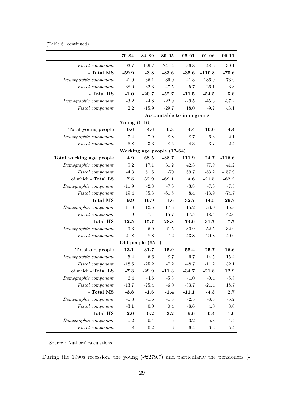(Table 6. continued)

|                           | 79-84          | 84-89              | 89-95                      | 95-01    | 01-06    | $06 - 11$ |
|---------------------------|----------------|--------------------|----------------------------|----------|----------|-----------|
| Fiscal componant          | $-93.7$        | $-139.7$           | $-241.4$                   | $-136.8$ | $-148.6$ | $-139.1$  |
| - Total MS                | $-59.9$        | $-3.8$             | $-83.6$                    | $-35.6$  | $-110.8$ | $-70.6$   |
| Demographic componant     | $-21.9$        | $-36.1$            | $-36.0$                    | $-41.3$  | $-136.9$ | $-73.9$   |
| Fiscal componant          | $-38.0$        | $32.3\,$           | $-47.5$                    | 5.7      | 26.1     | $3.3\,$   |
| - Total HS                | $-1.0$         | $-20.7$            | $-52.7$                    | $-11.5$  | $-54.5$  | 5.8       |
| Demographic componant     | $-3.2$         | $-4.8$             | $-22.9$                    | $-29.5$  | $-45.3$  | $-37.2$   |
| Fiscal componant          | $2.2\,$        | $-15.9$            | $-29.7$                    | 18.0     | $-9.2$   | 43.1      |
|                           |                |                    | Accountable to immigrants  |          |          |           |
|                           | Young $(0-16)$ |                    |                            |          |          |           |
| Total young people        | 0.6            | 4.6                | 0.3                        | 4.4      | $-10.0$  | $-4.4$    |
| Demographic componant     | 7.4            | 7.9                | 8.8                        | 8.7      | $-6.3$   | $-2.1$    |
| Fiscal componant          | $-6.8$         | $-3.3$             | $-8.5$                     | $-4.3$   | $-3.7$   | $-2.4$    |
|                           |                |                    | Working age people (17-64) |          |          |           |
| Total working age people  | 4.9            | 68.5               | $-38.7$                    | 111.9    | 24.7     | $-116.6$  |
| Demographic componant     | 9.2            | 17.1               | 31.2                       | 42.3     | 77.9     | 41.2      |
| Fiscal componant          | $-4.3$         | $51.5\,$           | $-70$                      | 69.7     | $-53.2$  | $-157.9$  |
| of which - Total LS       | 7.5            | 32.9               | $-69.1$                    | 4.6      | $-21.5$  | $-82.2$   |
| Demographic componant     | $-11.9$        | $-2.3$             | $-7.6$                     | $-3.8$   | $-7.6$   | $-7.5$    |
| $\it F is cal\ component$ | 19.4           | $35.3\,$           | $-61.5$                    | 8.4      | $-13.9$  | $-74.7$   |
| - Total MS                | 9.9            | 19.9               | 1.6                        | 32.7     | 14.5     | $-26.7$   |
| Demographic componant     | 11.8           | 12.5               | 17.3                       | 15.2     | 33.0     | 15.8      |
| Fiscal componant          | $-1.9$         | 7.4                | $-15.7$                    | 17.5     | $-18.5$  | $-42.6$   |
| - Total HS                | $-12.5$        | 15.7               | 28.8                       | 74.6     | 31.7     | $-7.7$    |
| Demographic componant     | $\rm 9.3$      | 6.9                | 21.5                       | $30.9\,$ | $52.5\,$ | 32.9      |
| Fiscal componant          | $-21.8$        | 8.8                | 7.2                        | 43.8     | $-20.8$  | $-40.6$   |
|                           |                | Old people $(65+)$ |                            |          |          |           |
| Total old people          | $-13.1$        | $-31.7$            | $-15.9$                    | $-55.4$  | $-25.7$  | 16.6      |
| Demographic componant     | $5.4\,$        | $-6.6$             | $-8.7$                     | $-6.7$   | $-14.5$  | $-15.4$   |
| <i>Fiscal</i> componant   | $-18.6$        | $-25.2$            | $-7.2$                     | $-48.7$  | $-11.2$  | $32.1\,$  |
| of which - Total LS       | $-7.3$         | $-29.9$            | $-11.3$                    | $-34.7$  | $-21.8$  | 12.9      |
| Demographic componant     | $6.4\,$        | $-4.6$             | $-5.3$                     | $-1.0$   | $-0.4$   | $-5.8$    |
| Fiscal componant          | $-13.7$        | $-25.4$            | $-6.0$                     | $-33.7$  | $-21.4$  | 18.7      |
| - Total MS                | $-3.8$         | $-1.6$             | $-1.4$                     | $-11.1$  | $-4.3$   | 2.7       |
| Demographic componant     | $-0.8$         | $-1.6$             | $-1.8$                     | $-2.5$   | $-8.3$   | $-5.2$    |
| Fiscal componant          | $-3.1$         | $0.0\,$            | 0.4                        | $-8.6$   | $4.0\,$  | 8.0       |
| - Total HS                | $-2.0$         | $-0.2$             | $-3.2$                     | $-9.6$   | 0.4      | 1.0       |
| Demographic componant     | $-0.2$         | $-0.4$             | $-1.6$                     | $-3.2$   | $-5.8$   | $-4.4$    |
| Fiscal componant          | $-1.8$         | $\rm 0.2$          | $-1.6$                     | $-6.4$   | $6.2\,$  | $5.4\,$   |

Source : Authors' calculations.

During the 1990s recession, the young  $(-\epsilon 279.7)$  and particularly the pensioners  $(-\epsilon 279.7)$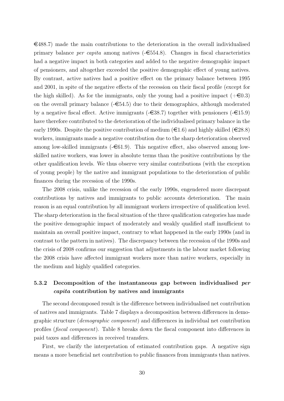$\in$ 488.7) made the main contributions to the deterioration in the overall individualised primary balance *per capita* among natives  $(-\epsilon 554.8)$ . Changes in fiscal characteristics had a negative impact in both categories and added to the negative demographic impact of pensioners, and altogether exceeded the positive demographic effect of young natives. By contrast, active natives had a positive effect on the primary balance between 1995 and 2001, in spite of the negative effects of the recession on their fiscal profile (except for the high skilled). As for the immigrants, only the young had a positive impact  $(+\epsilon 0.3)$ on the overall primary balance  $(-\epsilon 54.5)$  due to their demographics, although moderated by a negative fiscal effect. Active immigrants  $(-\epsilon 38.7)$  together with pensioners  $(-\epsilon 15.9)$ have therefore contributed to the deterioration of the individualised primary balance in the early 1990s. Despite the positive contribution of medium ( $\in$ 1.6) and highly skilled ( $\in$ 28.8) workers, immigrants made a negative contribution due to the sharp deterioration observed among low-skilled immigrants  $(-\epsilon 61.9)$ . This negative effect, also observed among lowskilled native workers, was lower in absolute terms than the positive contributions by the other qualification levels. We thus observe very similar contributions (with the exception of young people) by the native and immigrant populations to the deterioration of public finances during the recession of the 1990s.

The 2008 crisis, unlike the recession of the early 1990s, engendered more discrepant contributions by natives and immigrants to public accounts deterioration. The main reason is an equal contribution by all immigrant workers irrespective of qualification level. The sharp deterioration in the fiscal situation of the three qualification categories has made the positive demographic impact of moderately and weakly qualified staff insufficient to maintain an overall positive impact, contrary to what happened in the early 1990s (and in contrast to the pattern in natives). The discrepancy between the recession of the 1990s and the crisis of 2008 confirms our suggestion that adjustments in the labour market following the 2008 crisis have affected immigrant workers more than native workers, especially in the medium and highly qualified categories.

#### 5.3.2 Decomposition of the instantaneous gap between individualised per capita contribution by natives and immigrants

The second decomposed result is the difference between individualised net contribution of natives and immigrants. Table 7 displays a decomposition between differences in demographic structure (demographic component) and differences in individual net contribution profiles (fiscal component). Table 8 breaks down the fiscal component into differences in paid taxes and differences in received transfers.

First, we clarify the interpretation of estimated contribution gaps. A negative sign means a more beneficial net contribution to public finances from immigrants than natives.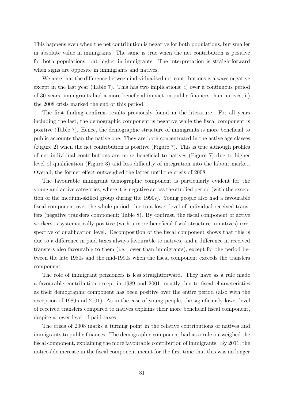This happens even when the net contribution is negative for both populations, but smaller in absolute value in immigrants. The same is true when the net contribution is positive for both populations, but higher in immigrants. The interpretation is straightforward when signs are opposite in immigrants and natives.

We note that the difference between individualised net contributions is always negative except in the last year (Table 7). This has two implications: i) over a continuous period of 30 years, immigrants had a more beneficial impact on public finances than natives; ii) the 2008 crisis marked the end of this period.

The first finding confirms results previously found in the literature. For all years including the last, the demographic component is negative while the fiscal component is positive (Table 7). Hence, the demographic structure of immigrants is more beneficial to public accounts than the native one. They are both concentrated in the active age classes (Figure 2) when the net contribution is positive (Figure 7). This is true although profiles of net individual contributions are more beneficial to natives (Figure 7) due to higher level of qualification (Figure 3) and less difficulty of integration into the labour market. Overall, the former effect outweighed the latter until the crisis of 2008.

The favourable immigrant demographic component is particularly evident for the young and active categories, where it is negative across the studied period (with the exception of the medium-skilled group during the 1990s). Young people also had a favourable fiscal component over the whole period, due to a lower level of individual received transfers (negative transfers component; Table 8). By contrast, the fiscal component of active workers is systematically positive (with a more beneficial fiscal structure in natives) irrespective of qualification level. Decomposition of the fiscal component shows that this is due to a difference in paid taxes always favourable to natives, and a difference in received transfers also favourable to them (i.e. lower than immigrants), except for the period between the late 1980s and the mid-1990s when the fiscal component exceeds the transfers component.

The role of immigrant pensioners is less straightforward. They have as a rule made a favourable contribution except in 1989 and 2001, mostly due to fiscal characteristics as their demographic component has been positive over the entire period (also with the exception of 1989 and 2001). As in the case of young people, the significantly lower level of received transfers compared to natives explains their more beneficial fiscal component, despite a lower level of paid taxes.

The crisis of 2008 marks a turning point in the relative contributions of natives and immigrants to public finances. The demographic component had as a rule outweighed the fiscal component, explaining the more favourable contribution of immigrants. By 2011, the noticeable increase in the fiscal component meant for the first time that this was no longer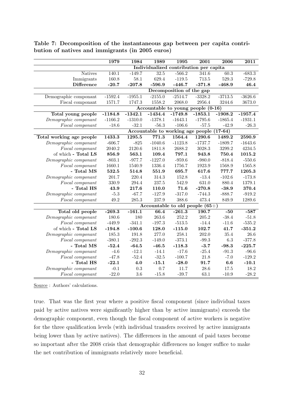|                          | 1979      | 1984      | 1989      | 1995                     | $\overline{2001}$                         | 2006      | 2011      |
|--------------------------|-----------|-----------|-----------|--------------------------|-------------------------------------------|-----------|-----------|
|                          |           |           |           |                          | Individualized contribution per capita    |           |           |
| <b>Natives</b>           | 140.1     | $-149.7$  | 32.5      | $-566.2$                 | 341.6                                     | 60.3      | $-683.3$  |
| Immigrants               | 160.8     | $58.1\,$  | 629.4     | $-119.5$                 | 713.5                                     | 529.3     | $-729.8$  |
| <b>Difference</b>        | $-20.7$   | $-207.8$  | $-596.9$  | $-446.7$                 | $-371.8$                                  | $-468.9$  | 46.4      |
|                          |           |           |           | Decomposition of the gap |                                           |           |           |
| Demographic componant    | $-1592.4$ | $-1955.1$ | $-2155.0$ | $-2514.7$                | $-3328.2$                                 | $-3713.5$ | $-3626.6$ |
| Fiscal componant         | 1571.7    | 1747.3    | 1558.2    | 2068.0                   | 2956.4                                    | 3244.6    | 3673.0    |
|                          |           |           |           |                          | Accountable to young people (0-16)        |           |           |
| Total young people       | $-1184.8$ | $-1342.1$ | $-1434.4$ | $-1749.8$                | $-1853.1$                                 | $-1908.2$ | $-1957.4$ |
| Demographic componant    | $-1166.2$ | $-1310.0$ | $-1378.1$ | $-1643.1$                | $-1795.6$                                 | $-1865.4$ | $-1931.1$ |
| Fiscal componant         | $-18.6$   | $-32.1$   | $-56.3$   | $-106.6$                 | $-57.5$                                   | $-42.9$   | $-26.3$   |
|                          |           |           |           |                          | Accountable to working age people (17-64) |           |           |
| Total working age people | 1433.3    | 1295.5    | 771.3     | 1564.4                   | 1290.6                                    | 1489.2    | 2590.9    |
| Demographic componant    | $-606.7$  | $-825$    | $-1040.6$ | $-1123.8$                | $-1737.7$                                 | $-1809.7$ | $-1643.6$ |
| Fiscal componant         | 2040.2    | 2120.6    | 1811.8    | 2688.2                   | 3028.3                                    | 3299.2    | 4234.5    |
| of which - Total LS      | 856.9     | 563.1     | 109.4     | 797.1                    | 943.8                                     | 750.4     | 1015.2    |
| Demographic componant    | $-803.1$  | $-977.7$  | $-1227.0$ | $-959.6$                 | $-980.0$                                  | $-818.4$  | $-550.6$  |
| Fiscal componant         | 1660.1    | 1540.9    | 1336.4    | 1756.7                   | 1923.9                                    | 1568.9    | 1565.8    |
| - Total MS               | 532.5     | 514.8     | 551.9     | 695.7                    | 617.6                                     | 777.7     | 1205.3    |
| Demographic componant    | 201.7     | 220.4     | 314.3     | 152.8                    | $-13.4$                                   | $-102.6$  | $-173.8$  |
| Fiscal componant         | 330.9     | 294.4     | 237.5     | 542.9                    | 631.0                                     | 880.4     | 1379.1    |
| - Total HS               | 43.9      | 217.6     | 110.0     | 71.6                     | $-270.8$                                  | $-38.9$   | 370.4     |
| Demographic componant    | $-5.3$    | $-67.7$   | $-127.9$  | $-317.0$                 | $-744.3$                                  | $-888.7$  | $-919.2$  |
| Fiscal componant         | 49.2      | 285.3     | 237.9     | 388.6                    | 473.4                                     | 849.9     | 1289.6    |
|                          |           |           |           |                          | Accountable to old people $(65+)$         |           |           |
| Total old people         | $-269.3$  | $-161.1$  | 66.4      | $-261.3$                 | 190.7                                     | $-50$     | $-587$    |
| Demographic componant    | 180.6     | 180       | 263.6     | 252.2                    | 205.2                                     | $-38.4$   | $-51.8$   |
| Fiscal componant         | $-449.9$  | $-341.1$  | $-197.3$  | $-513.5$                 | $-14.4$                                   | $-11.6$   | $-535.2$  |
| of which - Total LS      | $-194.8$  | $-100.6$  | 128.0     | $-115.0$                 | 102.7                                     | 41.7      | $-351.2$  |
| Demographic componant    | 185.3     | 191.8     | 277.0     | 258.1                    | 202.0                                     | $35.4\,$  | 26.6      |
| Fiscal componant         | $-380.1$  | $-292.3$  | $-149.0$  | $-373.1$                 | $-99.3$                                   | $6.3\,$   | $-377.8$  |
| - Total MS               | $-52.4$   | $-64.5$   | $-46.5$   | $-118.3$                 | $-3.7$                                    | $-98.3$   | $-225.7$  |
| Demographic componant    | $-4.6$    | $-12.1$   | $-14.1$   | $-17.6$                  | $-25.4$                                   | $-91.3$   | $-96.6$   |
| Fiscal componant         | $-47.8$   | $-52.4$   | $-32.5$   | $-100.7$                 | 21.8                                      | $-7.0$    | $-129.2$  |
| - Total HS               | $-22.1$   | 4.0       | $-15.1$   | $-28.0$                  | 91.7                                      | 6.6       | $-10.1$   |
| Demographic componant    | $-0.1$    | $\rm 0.3$ | 0.7       | 11.7                     | 28.6                                      | 17.5      | 18.2      |
| Fiscal componant         | $-22.0$   | $3.6\,$   | $-15.8$   | $-39.7$                  | 63.1                                      | $-10.9$   | $-28.2$   |

Table 7: Decomposition of the instantaneous gap between per capita contribution of natives and immigrants (in 2005 euros)

Source : Authors' calculations.

true. That was the first year where a positive fiscal component (since individual taxes paid by active natives were significantly higher than by active immigrants) exceeds the demographic component, even though the fiscal component of active workers is negative for the three qualification levels (with individual transfers received by active immigrants being lower than by active natives). The differences in the amount of paid taxes become so important after the 2008 crisis that demographic differences no longer suffice to make the net contribution of immigrants relatively more beneficial.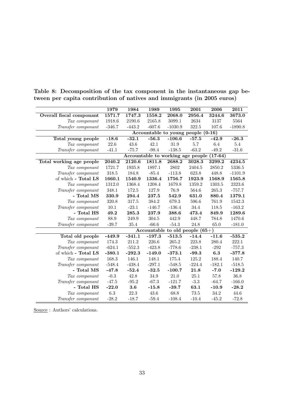|                                 | 1979      | 1984     | 1989     | 1995                              | 2001     | 2006      | 2011      |
|---------------------------------|-----------|----------|----------|-----------------------------------|----------|-----------|-----------|
| <b>Overall fiscal componant</b> | 1571.7    | 1747.3   | 1558.2   | 2068.0                            | 2956.4   | 3244.6    | 3673.0    |
| Tax componant                   | 1918.6    | 2190.6   | 2165.8   | 3099.1                            | 2634     | 3137      | 5564      |
| Transfer componant              | $-346.7$  | $-443.2$ | $-607.6$ | $-1030.9$                         | 322.5    | 107.6     | $-1890.8$ |
|                                 |           |          |          | Accountable to young people       |          | $(0-16)$  |           |
| Total young people              | $-18.6$   | $-32.1$  | $-56.3$  | $-106.6$                          | $-57.5$  | $-42.9$   | $-26.3$   |
| Tax componant                   | 22.6      | 43.6     | 42.1     | 31.9                              | 5.7      | 6.4       | 5.4       |
| Transfer componant              | $-41.1$   | $-75.7$  | $-98.4$  | $-138.5$                          | $-63.2$  | $-49.2$   | $-31.6$   |
|                                 |           |          |          | Accountable to working age people |          | $(17-64)$ |           |
| Total working age people        | 2040.2    | 2120.6   | 1811.8   | 2688.2                            | 3028.3   | 3299.2    | 4234.5    |
| Tax componant                   | 1721.7    | 1935.8   | 1897.1   | 2802                              | 2404.5   | 2850.2    | 5336.5    |
| Transfer componant              | $318.5\,$ | 184.8    | $-85.4$  | $-113.8$                          | 623.8    | 448.8     | $-1101.9$ |
| of which - Total LS             | 1660.1    | 1540.9   | 1336.4   | 1756.7                            | 1923.9   | 1568.9    | 1565.8    |
| Tax componant                   | 1312.0    | 1368.4   | 1208.4   | 1679.8                            | 1359.2   | 1303.5    | 2323.6    |
| Transfer componant              | 348.1     | 172.5    | 127.9    | 76.9                              | 564.6    | 265.3     | $-757.7$  |
| - Total MS                      | 330.9     | 294.4    | 237.5    | 542.9                             | 631.0    | 880.4     | 1379.1    |
| Tax componant                   | 320.8     | 317.5    | 384.2    | 679.3                             | 596.6    | 761.9     | 1542.3    |
| Transfer componant              | 10.1      | $-23.1$  | $-146.7$ | $-136.4$                          | 34.4     | 118.5     | $-163.2$  |
| - Total HS                      | 49.2      | 285.3    | 237.9    | 388.6                             | 473.4    | 849.9     | 1289.6    |
| Tax componant                   | $88.9\,$  | 249.9    | 304.5    | 442.9                             | 448.7    | 784.8     | 1470.6    |
| Transfer componant              | $-39.7$   | 35.4     | $-66.6$  | $-54.3$                           | 24.8     | 65.0      | $-181.0$  |
|                                 |           |          |          | Accountable to old people $(65+)$ |          |           |           |
| Total old people                | $-449.9$  | $-341.1$ | $-197.3$ | $-513.5$                          | $-14.4$  | $-11.6$   | $-535.2$  |
| Tax componant                   | 174.3     | 211.2    | 226.6    | 265.2                             | 223.8    | 280.4     | 222.1     |
| Transfer componant              | $-624.1$  | $-552.3$ | $-423.8$ | $-778.6$                          | $-238.1$ | $-292$    | $-757.3$  |
| of which - Total LS             | $-380.1$  | $-292.3$ | $-149.0$ | $-373.1$                          | $-99.3$  | 6.3       | $-377.8$  |
| Tax componant                   | 168.3     | 146.1    | 148.1    | 175.4                             | 125.2    | 188.4     | 140.7     |
| Transfer componant              | $-548.4$  | $-438.4$ | $-297.1$ | $-548.5$                          | $-224.4$ | $-182.1$  | $-518.5$  |
| - Total MS                      | $-47.8$   | $-52.4$  | $-32.5$  | $-100.7$                          | 21.8     | $-7.0$    | $-129.2$  |
| Tax componant                   | $-0.3$    | 42.8     | 34.9     | 21.0                              | 25.1     | 57.8      | 36.8      |
| Transfer componant              | $-47.5$   | $-95.2$  | $-67.3$  | $-121.7$                          | $-3.3$   | $-64.7$   | $-166.0$  |
| - Total HS                      | $-22.0$   | 3.6      | $-15.8$  | $-39.7$                           | 63.1     | $-10.9$   | $-28.2$   |
| Tax componant                   | $6.3\,$   | $22.3\,$ | $43.6\,$ | 68.8                              | $73.5\,$ | 34.2      | 44.6      |
| Transfer componant              | $-28.2$   | $-18.7$  | $-59.4$  | $-108.4$                          | $-10.4$  | $-45.2$   | $-72.8$   |

Table 8: Decomposition of the tax component in the instantaneous gap between per capita contribution of natives and immigrants (in 2005 euros)

Source : Authors' calculations.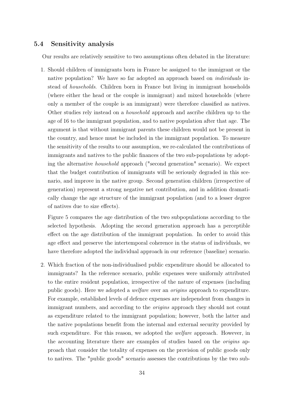#### 5.4 Sensitivity analysis

Our results are relatively sensitive to two assumptions often debated in the literature:

1. Should children of immigrants born in France be assigned to the immigrant or the native population? We have so far adopted an approach based on *individuals* instead of households. Children born in France but living in immigrant households (where either the head or the couple is immigrant) and mixed households (where only a member of the couple is an immigrant) were therefore classified as natives. Other studies rely instead on a household approach and ascribe children up to the age of 16 to the immigrant population, and to native population after that age. The argument is that without immigrant parents these children would not be present in the country, and hence must be included in the immigrant population. To measure the sensitivity of the results to our assumption, we re-calculated the contributions of immigrants and natives to the public finances of the two sub-populations by adopting the alternative household approach ("second generation" scenario). We expect that the budget contribution of immigrants will be seriously degraded in this scenario, and improve in the native group. Second generation children (irrespective of generation) represent a strong negative net contribution, and in addition dramatically change the age structure of the immigrant population (and to a lesser degree of natives due to size effects).

Figure 5 compares the age distribution of the two subpopulations according to the selected hypothesis. Adopting the second generation approach has a perceptible effect on the age distribution of the immigrant population. In order to avoid this age effect and preserve the intertemporal coherence in the status of individuals, we have therefore adopted the individual approach in our reference (baseline) scenario.

2. Which fraction of the non-individualised public expenditure should be allocated to immigrants? In the reference scenario, public expenses were uniformly attributed to the entire resident population, irrespective of the nature of expenses (including public goods). Here we adopted a welfare over an origins approach to expenditure. For example, established levels of defence expenses are independent from changes in immigrant numbers, and according to the origins approach they should not count as expenditure related to the immigrant population; however, both the latter and the native populations benefit from the internal and external security provided by such expenditure. For this reason, we adopted the welfare approach. However, in the accounting literature there are examples of studies based on the origins approach that consider the totality of expenses on the provision of public goods only to natives. The "public goods" scenario assesses the contributions by the two sub-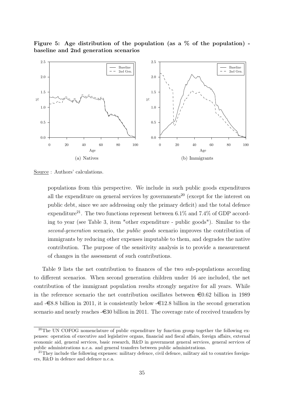



Source : Authors' calculations.

populations from this perspective. We include in such public goods expenditures all the expenditure on general services by governments<sup>20</sup> (except for the interest on public debt, since we are addressing only the primary deficit) and the total defence expenditure<sup>21</sup>. The two functions represent between 6.1% and 7.4% of GDP according to year (see Table 3, item "other expenditure - public goods"). Similar to the second-generation scenario, the public goods scenario improves the contribution of immigrants by reducing other expenses imputable to them, and degrades the native contribution. The purpose of the sensitivity analysis is to provide a measurement of changes in the assessment of such contributions.

Table 9 lists the net contribution to finances of the two sub-populations according to different scenarios. When second generation children under 16 are included, the net contribution of the immigrant population results strongly negative for all years. While in the reference scenario the net contribution oscillates between  $\epsilon 0.62$  billion in 1989 and  $-\epsilon 8.8$  billion in 2011, it is consistently below  $-\epsilon 12.8$  billion in the second generation scenario and nearly reaches  $-\epsilon$ 30 billion in 2011. The coverage rate of received transfers by

<sup>&</sup>lt;sup>20</sup>The UN COFOG nomenclature of public expenditure by function group together the following expenses: operation of executive and legislative organs, financial and fiscal affairs, foreign affairs, external economic aid, general services, basic research, R&D in government general services, general services of public administrations n.c.a. and general transfers between public administrations.

<sup>&</sup>lt;sup>21</sup>They include the following expenses: military defence, civil defence, military aid to countries foreigners, R&D in defence and defence n.c.a.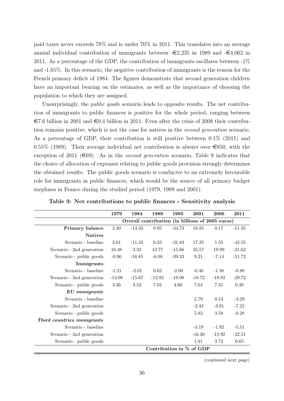paid taxes never exceeds 78% and is under 70% in 2011. This translates into an average annual individual contribution of immigrants between  $-\epsilon 2,235$  in 1989 and  $-\epsilon 4,062$  in 2011. As a percentage of the GDP, the contribution of immigrants oscillates between  $-1\%$ and -1.65%. In this scenario, the negative contribution of immigrants is the reason for the French primary deficit of 1984. The figures demonstrate that second generation children have an important bearing on the estimates, as well as the importance of choosing the population to which they are assigned.

Unsurprisingly, the *public goods* scenario leads to opposite results. The net contribution of immigrants to public finances is positive for the whole period, ranging between  $\epsilon$ 7.6 billion in 2001 and  $\epsilon$ 0.4 billion in 2011. Even after the crisis of 2008 their contribution remains positive, which is not the case for natives in the second generation scenario. As a percentage of GDP, their contribution is still positive between 0.1% (2011) and 0.55% (1989). Their average individual net contribution is always over  $\epsilon$ 850, with the exception of 2011 ( $\epsilon$ 69). As in the *second generation* scenario, Table 9 indicates that the choice of allocation of expenses relating to public goods provision strongly determines the obtained results. The public goods scenario is conducive to an extremely favourable role for immigrants in public finances, which would be the source of all primary budget surpluses in France during the studied period (1979, 1989 and 2001).

|                            | 1979     | 1984     | 1989     | 1995                                             | 2001     | 2006     | 2011     |
|----------------------------|----------|----------|----------|--------------------------------------------------|----------|----------|----------|
|                            |          |          |          | Overall contribution (in billions of 2005 euros) |          |          |          |
| Primary balance            | 2.40     | $-13.33$ | $0.95\,$ | $-34.73$                                         | 16.85    | 0.17     | $-51.35$ |
| <b>Natives</b>             |          |          |          |                                                  |          |          |          |
| Scenario - baseline        | 3.61     | $-11.33$ | 0.33     | $-31.83$                                         | 17.25    | 1.55     | $-42.55$ |
| Scenario - 2nd generation  | 16.48    | 2.33     | 13.77    | $-15.66$                                         | 35.57    | 19.99    | $-21.62$ |
| Scenario - public goods    | $-0.96$  | $-16.85$ | $-6.08$  | $-39.33$                                         | 9.21     | $-7.14$  | $-51.72$ |
| Immigrants                 |          |          |          |                                                  |          |          |          |
| Scenario - baseline        | $-1.21$  | $-2.01$  | 0.62     | $-2.90$                                          | $-0.40$  | $-1.38$  | $-8.80$  |
| Scenario - 2nd generation  | $-14.08$ | $-15.67$ | $-12.82$ | $-19.08$                                         | $-18.72$ | $-19.82$ | $-29.72$ |
| Scenario - public goods    | 3.36     | 3.52     | 7.02     | 4.60                                             | 7.64     | 7.31     | 0.38     |
| $EU\;immigrams$            |          |          |          |                                                  |          |          |          |
| Scenario - baseline        |          |          |          |                                                  | 2.79     | 0.54     | $-3.29$  |
| Scenario - 2nd generation  |          |          |          |                                                  | $-2.42$  | $-3.91$  | $-7.22$  |
| Scenario - public goods    |          |          |          |                                                  | 5.83     | 3.58     | $-0.28$  |
| Third countries immigrants |          |          |          |                                                  |          |          |          |
| Scenario - baseline        |          |          |          |                                                  | $-3.19$  | $-1.92$  | $-5.51$  |
| Scenario - 2nd generation  |          |          |          |                                                  | $-16.30$ | $-15.92$ | $-22.51$ |
| Scenario - public goods    |          |          |          |                                                  | 1.81     | 3.72     | 0.65     |
|                            |          |          |          | Contribution in % of GDP                         |          |          |          |

Table 9: Net contributions to public finances - Sensitivity analysis

(continued next page)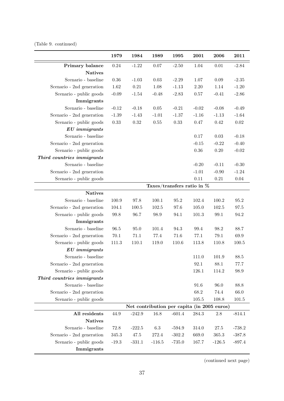## (Table 9. continued)

|                            | 1979     | 1984                                        | 1989     | 1995                          | 2001     | 2006     | 2011      |
|----------------------------|----------|---------------------------------------------|----------|-------------------------------|----------|----------|-----------|
| Primary balance            | 0.24     | $-1.22$                                     | 0.07     | $-2.50$                       | 1.04     | $0.01\,$ | $-2.84$   |
| <b>Natives</b>             |          |                                             |          |                               |          |          |           |
| Scenario - baseline        | 0.36     | $-1.03$                                     | 0.03     | $-2.29$                       | $1.07\,$ | 0.09     | $-2.35$   |
| Scenario - 2nd generation  | 1.62     | $0.21\,$                                    | 1.08     | $-1.13$                       | $2.20\,$ | 1.14     | $-1.20$   |
| Scenario - public goods    | $-0.09$  | $-1.54$                                     | $-0.48$  | $-2.83$                       | $0.57\,$ | $-0.41$  | $-2.86$   |
| Immigrants                 |          |                                             |          |                               |          |          |           |
| Scenario - baseline        | $-0.12$  | $-0.18$                                     | 0.05     | $-0.21$                       | $-0.02$  | $-0.08$  | $-0.49$   |
| Scenario - 2nd generation  | $-1.39$  | $-1.43$                                     | $-1.01$  | $-1.37$                       | $-1.16$  | $-1.13$  | $-1.64$   |
| Scenario - public goods    | $0.33\,$ | $0.32\,$                                    | 0.55     | 0.33                          | 0.47     | 0.42     | 0.02      |
| $EU\;immigrams$            |          |                                             |          |                               |          |          |           |
| Scenario - baseline        |          |                                             |          |                               | 0.17     | 0.03     | $-0.18$   |
| Scenario - 2nd generation  |          |                                             |          |                               | $-0.15$  | $-0.22$  | $-0.40$   |
| Scenario - public goods    |          |                                             |          |                               | $0.36\,$ | 0.20     | $-0.02$   |
| Third countries immigrants |          |                                             |          |                               |          |          |           |
| Scenario - baseline        |          |                                             |          |                               | $-0.20$  | $-0.11$  | $-0.30$   |
| Scenario - 2nd generation  |          |                                             |          |                               | $-1.01$  | $-0.90$  | $-1.24$   |
| Scenario - public goods    |          |                                             |          |                               | $0.11\,$ | $0.21\,$ | $0.04\,$  |
|                            |          |                                             |          | Taxes/transfers ratio in $\%$ |          |          |           |
| <b>Natives</b>             |          |                                             |          |                               |          |          |           |
| Scenario - baseline        | 100.9    | 97.8                                        | 100.1    | 95.2                          | 102.4    | 100.2    | 95.2      |
| Scenario - 2nd generation  | 104.1    | 100.5                                       | 102.5    | 97.6                          | 105.0    | 102.5    | 97.5      |
| Scenario - public goods    | 99.8     | 96.7                                        | 98.9     | 94.1                          | 101.3    | $99.1\,$ | 94.2      |
| Immigrants                 |          |                                             |          |                               |          |          |           |
| Scenario - baseline        | 96.5     | 95.0                                        | 101.4    | 94.3                          | 99.4     | 98.2     | 88.7      |
| Scenario - 2nd generation  | $70.1\,$ | 71.1                                        | $77.4\,$ | 71.6                          | 77.1     | $79.1\,$ | 69.9      |
| Scenario - public goods    | 111.3    | 110.1                                       | 119.0    | $110.6\,$                     | 113.8    | 110.8    | $100.5\,$ |
| $EU\;immigrams$            |          |                                             |          |                               |          |          |           |
| Scenario - baseline        |          |                                             |          |                               | 111.0    | 101.9    | 88.5      |
| Scenario - 2nd generation  |          |                                             |          |                               | 92.1     | 88.1     | 77.7      |
| Scenario - public goods    |          |                                             |          |                               | 126.1    | 114.2    | 98.9      |
| Third countries immigrants |          |                                             |          |                               |          |          |           |
| Scenario - baseline        |          |                                             |          |                               | 91.6     | 96.0     | 88.8      |
| Scenario - 2nd generation  |          |                                             |          |                               | 68.2     | 74.4     | 66.0      |
| Scenario - public goods    |          |                                             |          |                               | 105.5    | 108.8    | 101.5     |
|                            |          | Net contribution per capita (in 2005 euros) |          |                               |          |          |           |
| All residents              | 44.9     | $-242.9$                                    | 16.8     | $-601.4$                      | 284.3    | 2.8      | $-814.1$  |
| <b>Natives</b>             |          |                                             |          |                               |          |          |           |
| Scenario - baseline        | 72.8     | $-222.5$                                    | $6.3\,$  | $-594.9$                      | 314.0    | $27.5\,$ | $-738.2$  |
| Scenario - 2nd generation  | 345.3    | 47.5                                        | 272.4    | $-302.2$                      | 669.0    | 365.3    | $-387.8$  |
| Scenario - public goods    | $-19.3$  | $-331.1$                                    | $-116.5$ | $-735.0$                      | 167.7    | $-126.5$ | $-897.4$  |
| Immigrants                 |          |                                             |          |                               |          |          |           |

(continued next page)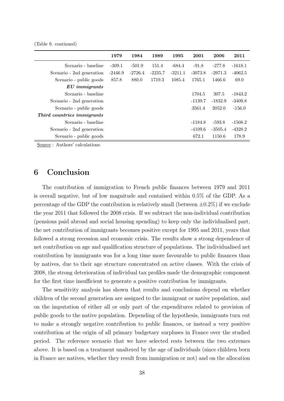(Table 9. continued)

|                            | 1979      | 1984      | 1989      | 1995      | 2001      | 2006      | 2011      |
|----------------------------|-----------|-----------|-----------|-----------|-----------|-----------|-----------|
| Scenario - baseline        | $-309.1$  | $-501.9$  | 151.4     | $-684.4$  | $-91.8$   | $-277.8$  | $-1618.1$ |
| Scenario - 2nd generation  | $-2446.9$ | $-2726.4$ | $-2235.7$ | $-3211.1$ | $-3073.8$ | $-2971.3$ | $-4062.5$ |
| Scenario - public goods    | 857.8     | 880.0     | 1719.3    | 1085.4    | 1765.1    | 1466.6    | 69.0      |
| $EU\;immigrams$            |           |           |           |           |           |           |           |
| Scenario - baseline        |           |           |           |           | 1704.5    | 307.5     | $-1843.2$ |
| Scenario - 2nd generation  |           |           |           |           | $-1139.7$ | $-1832.9$ | $-3409.8$ |
| Scenario - public goods    |           |           |           |           | 3561.4    | 2052.0    | $-156.0$  |
| Third countries immigrants |           |           |           |           |           |           |           |
| Scenario - baseline        |           |           |           |           | $-1184.8$ | $-593.8$  | $-1508.2$ |
| Scenario - 2nd generation  |           |           |           |           | $-4109.6$ | $-3505.4$ | $-4328.2$ |
| Scenario - public goods    |           |           |           |           | 672.1     | 1150.6    | 178.9     |

Source : Authors' calculations.

## 6 Conclusion

The contribution of immigration to French public finances between 1979 and 2011 is overall negative, but of low magnitude and contained within 0.5% of the GDP. As a percentage of the GDP the contribution is relatively small (between  $\pm 0.2\%$ ) if we exclude the year 2011 that followed the 2008 crisis. If we subtract the non-individual contribution (pensions paid abroad and social housing spending) to keep only the individualised part, the net contribution of immigrants becomes positive except for 1995 and 2011, years that followed a strong recession and economic crisis. The results show a strong dependence of net contribution on age and qualification structure of populations. The individualised net contribution by immigrants was for a long time more favourable to public finances than by natives, due to their age structure concentrated on active classes. With the crisis of 2008, the strong deterioration of individual tax profiles made the demographic component for the first time insufficient to generate a positive contribution by immigrants.

The sensitivity analysis has shown that results and conclusions depend on whether children of the second generation are assigned to the immigrant or native population, and on the imputation of either all or only part of the expenditures related to provision of public goods to the native population. Depending of the hypothesis, immigrants turn out to make a strongly negative contribution to public finances, or instead a very positive contribution at the origin of all primary budgetary surpluses in France over the studied period. The reference scenario that we have selected rests between the two extremes above. It is based on a treatment unaltered by the age of individuals (since children born in France are natives, whether they result from immigration or not) and on the allocation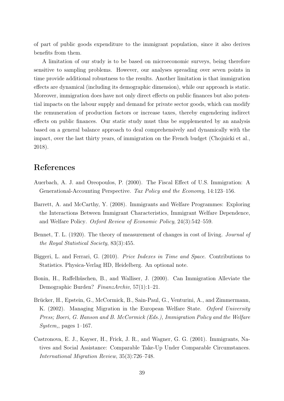of part of public goods expenditure to the immigrant population, since it also derives benefits from them.

A limitation of our study is to be based on microeconomic surveys, being therefore sensitive to sampling problems. However, our analyses spreading over seven points in time provide additional robustness to the results. Another limitation is that immigration effects are dynamical (including its demographic dimension), while our approach is static. Moreover, immigration does have not only direct effects on public finances but also potential impacts on the labour supply and demand for private sector goods, which can modify the remuneration of production factors or increase taxes, thereby engendering indirect effects on public finances. Our static study must thus be supplemented by an analysis based on a general balance approach to deal comprehensively and dynamically with the impact, over the last thirty years, of immigration on the French budget (Chojnicki et al., 2018).

## References

- Auerbach, A. J. and Oreopoulos, P. (2000). The Fiscal Effect of U.S. Immigration: A Generational-Accounting Perspective. Tax Policy and the Economy, 14:123–156.
- Barrett, A. and McCarthy, Y. (2008). Immigrants and Welfare Programmes: Exploring the Interactions Between Immigrant Characteristics, Immigrant Welfare Dependence, and Welfare Policy. Oxford Review of Economic Policy, 24(3):542–559.
- Bennet, T. L. (1920). The theory of measurement of changes in cost of living. Journal of the Royal Statistical Society, 83(3):455.
- Biggeri, L. and Ferrari, G. (2010). Price Indexes in Time and Space. Contributions to Statistics. Physica-Verlag HD, Heidelberg. An optional note.
- Bonin, H., Raffelhüschen, B., and Walliser, J. (2000). Can Immigration Alleviate the Demographic Burden? FinanzArchiv, 57(1):1–21.
- Brücker, H., Epstein, G., McCormick, B., Sain-Paul, G., Venturini, A., and Zimmermann, K. (2002). Managing Migration in the European Welfare State. Oxford University Press; Boeri, G. Hanson and B. McCormick (Eds.), Immigration Policy and the Welfare  $System$ , pages 1–167.
- Castronova, E. J., Kayser, H., Frick, J. R., and Wagner, G. G. (2001). Immigrants, Natives and Social Assistance: Comparable Take-Up Under Comparable Circumstances. International Migration Review, 35(3):726–748.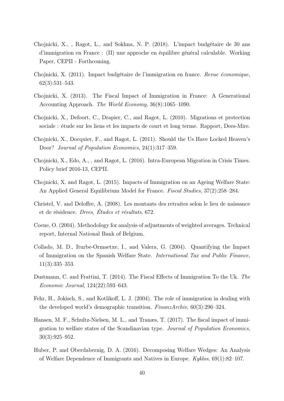- Chojnicki, X., , Ragot, L., and Sokhna, N. P. (2018). L'impact budgétaire de 30 ans d'immigration en France : (II) une approche en équilibre général calculable. Working Paper, CEPII - Forthcoming.
- Chojnicki, X. (2011). Impact budgétaire de l'immigration en france. Revue économique, 62(3):531–543.
- Chojnicki, X. (2013). The Fiscal Impact of Immigration in France: A Generational Accounting Approach. The World Economy, 36(8):1065–1090.
- Chojnicki, X., Defoort, C., Drapier, C., and Ragot, L. (2010). Migrations et protection sociale : étude sur les liens et les impacts de court et long terme. Rapport, Dees-Mire.
- Chojnicki, X., Docquier, F., and Ragot, L. (2011). Should the Us Have Locked Heaven's Door? Journal of Population Economics, 24(1):317–359.
- Chojnicki, X., Edo, A., , and Ragot, L. (2016). Intra-European Migration in Crisis Times. Policy brief 2016-13, CEPII.
- Chojnicki, X. and Ragot, L. (2015). Impacts of Immigration on an Ageing Welfare State: An Applied General Equilibrium Model for France. Fiscal Studies, 37(2):258–284.
- Christel, V. and Deloffre, A. (2008). Les montants des retraites selon le lieu de naissance et de résidence. Drees, Études et résultats, 672.
- Coene, O. (2004). Methodology for analysis of adjustments of weighted averages. Technical report, Internal National Bank of Belgium.
- Collado, M. D., Iturbe-Ormaetxe, I., and Valera, G. (2004). Quantifying the Impact of Immigration on the Spanish Welfare State. International Tax and Public Finance, 11(3):335–353.
- Dustmann, C. and Frattini, T. (2014). The Fiscal Effects of Immigration To the Uk. The Economic Journal, 124(22):593–643.
- Fehr, H., Jokisch, S., and Kotlikoff, L. J. (2004). The role of immigration in dealing with the developed world's demographic transition. FinanzArchiv, 60(3):296–324.
- Hansen, M. F., Schultz-Nielsen, M. L., and Tranæs, T. (2017). The fiscal impact of immigration to welfare states of the Scandinavian type. Journal of Population Economics, 30(3):925–952.
- Huber, P. and Oberdabernig, D. A. (2016). Decomposing Welfare Wedges: An Analysis of Welfare Dependence of Immigrants and Natives in Europe. Kyklos, 69(1):82–107.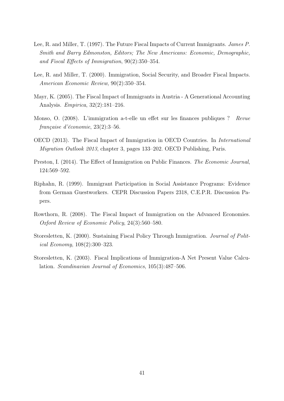- Lee, R. and Miller, T. (1997). The Future Fiscal Impacts of Current Immigrants. James P. Smith and Barry Edmonston, Editors; The New Americans: Economic, Demographic, and Fiscal Effects of Immigration, 90(2):350–354.
- Lee, R. and Miller, T. (2000). Immigration, Social Security, and Broader Fiscal Impacts. American Economic Review, 90(2):350–354.
- Mayr, K. (2005). The Fiscal Impact of Immigrants in Austria A Generational Accounting Analysis. Empirica, 32(2):181–216.
- Monso, O. (2008). L'immigration a-t-elle un effet sur les finances publiques ? Revue française d'économie, 23(2):3–56.
- OECD (2013). The Fiscal Impact of Immigration in OECD Countries. In International Migration Outlook 2013, chapter 3, pages 133–202. OECD Publishing, Paris.
- Preston, I. (2014). The Effect of Immigration on Public Finances. The Economic Journal, 124:569–592.
- Riphahn, R. (1999). Immigrant Participation in Social Assistance Programs: Evidence from German Guestworkers. CEPR Discussion Papers 2318, C.E.P.R. Discussion Papers.
- Rowthorn, R. (2008). The Fiscal Impact of Immigration on the Advanced Economies. Oxford Review of Economic Policy, 24(3):560–580.
- Storesletten, K. (2000). Sustaining Fiscal Policy Through Immigration. Journal of Political Economy, 108(2):300–323.
- Storesletten, K. (2003). Fiscal Implications of Immigration-A Net Present Value Calculation. Scandinavian Journal of Economics, 105(3):487–506.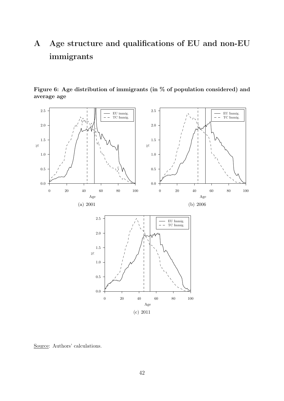# A Age structure and qualifications of EU and non-EU immigrants



Figure 6: Age distribution of immigrants (in % of population considered) and average age

Source: Authors' calculations.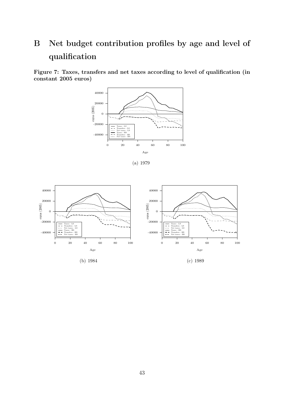# B Net budget contribution profiles by age and level of qualification

Figure 7: Taxes, transfers and net taxes according to level of qualification (in constant 2005 euros)





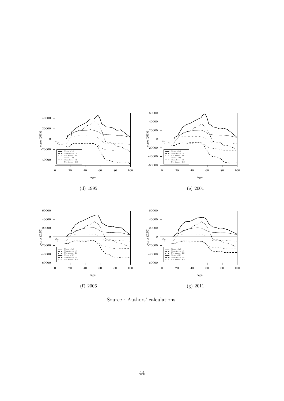

Source : Authors' calculations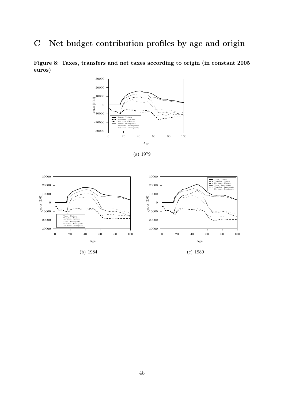## C Net budget contribution profiles by age and origin



Figure 8: Taxes, transfers and net taxes according to origin (in constant 2005 euros)



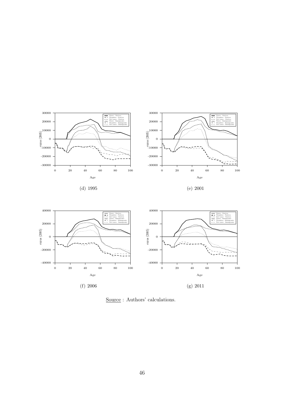

Source : Authors' calculations.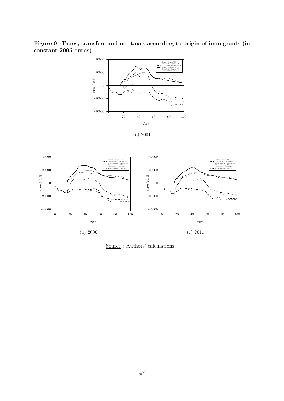Figure 9: Taxes, transfers and net taxes according to origin of immigrants (in constant 2005 euros)



(a) 2001



Source : Authors' calculations.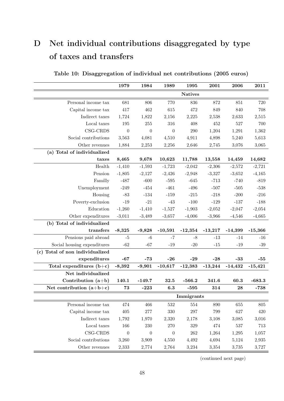# D Net individual contributions disaggregated by type of taxes and transfers

|                                 | 1979             | 1984             | 1989             | 1995                                      | 2001      | 2006           | 2011      |
|---------------------------------|------------------|------------------|------------------|-------------------------------------------|-----------|----------------|-----------|
|                                 |                  |                  |                  | <b>Natives</b>                            |           |                |           |
| Personal income tax             | 681              | 806              | 770              | 836                                       | 872       | 851            | 720       |
| Capital income tax              | 417              | 462              | 615              | 472                                       | 849       | 840            | 708       |
| Indirect taxes                  | 1,724            | 1,822            | 2,156            | 2,225                                     | 2,538     | 2,633          | 2,515     |
| Local taxes                     | 195              | 255              | 316              | 408                                       | 452       | 527            | 700       |
| CSG-CRDS                        | $\boldsymbol{0}$ | $\boldsymbol{0}$ | $\boldsymbol{0}$ | $\,290$                                   | 1,204     | 1,291          | 1,362     |
| Social contributions            | 3,563            | 4,081            | 4,510            | 4,911                                     | 4,898     | 5,240          | 5,613     |
| Other revenues                  | 1,884            | 2,253            | 2,256            | 2,646                                     | 2,745     | 3,076          | 3,065     |
| (a) Total of individualized     |                  |                  |                  |                                           |           |                |           |
| taxes                           | 8,465            | 9,678            | 10,623           | 11,788                                    | 13,558    | 14,459         | 14,682    |
| $\operatorname{Health}$         | $-1,410$         | $-1,593$         | $-1,723$         | $-2,042$                                  | $-2,306$  | $-2,572$       | $-2,721$  |
| Pension                         | $-1,805$         | $-2,127$         | $-2,426$         | $-2,948$                                  | $-3,327$  | $-3,652$       | $-4,165$  |
| Familly                         | $-487$           | $-600$           | $-595$           | $-645$                                    | $-713$    | $-740$         | $-819$    |
| Unemployment                    | $-249$           | $-454$           | $-461$           | $-496$                                    | $-507$    | $-505$         | $-538$    |
| Housing                         | $-83$            | $-134$           | $-159$           | $-215$                                    | $-218$    | $-200$         | $-216$    |
| Poverty-exclusion               | $-19$            | $-21$            | $-43$            | $-100$                                    | $-129$    | $-137$         | $-188$    |
| Education                       | $-1,260$         | $-1,410$         | $-1,527$         | $-1,903$                                  | $-2,052$  | $-2,047$       | $-2,054$  |
| Other expenditures              | $-3,011$         | $-3,489$         | $-3,657$         | $-4,006$                                  | $-3,966$  | $-4,546$       | $-4,665$  |
| (b) Total of individualized     |                  |                  |                  |                                           |           |                |           |
| transfers                       | $-8,325$         | $-9,828$         | $-10,591$        | $-12,354$                                 | $-13,217$ | $-14,399$      | $-15,366$ |
| Pensions paid abroad            | $-5$             | $-6$             | $-7$             | $-8$                                      | $-13$     | $-14$          | $-16$     |
| Social housing expenditures     | $-62$            | $-67$            | $-19$            | $-20$                                     | $-15$     | $\textbf{-}19$ | $-39$     |
| (c) Total of non individualized |                  |                  |                  |                                           |           |                |           |
| expenditures                    | $-67$            | $-73$            | $-26$            | $-29$                                     | $-28$     | $-33$          | $-55$     |
| Total expenditures $(b+c)$      | $-8,392$         | $-9,901$         | $-10,617$        | $-12,383$                                 | $-13,244$ | $-14,432$      | $-15,421$ |
| Net individualized              |                  |                  |                  |                                           |           |                |           |
| Contribution $(a+b)$            | 140.1            | $-149.7$         | 32.5             | $-566.2$                                  | 341.6     | 60.3           | $-683.3$  |
| Net contribution $(a+b+c)$      | 73               | $-223$           | 6.3              | $-595$                                    | 314       | 28             | $-738$    |
|                                 |                  |                  |                  | $\label{lem:optimal} \textbf{Immigrants}$ |           |                |           |
| Personal income tax             | 474              | 466              | $532\,$          | 554                                       | 890       | 655            | 805       |
| Capital income tax              | 405              | $277\,$          | 330              | $297\,$                                   | 799       | 627            | 420       |
| Indirect taxes                  | 1,792            | 1,970            | 2,320            | 2,178                                     | 3,108     | 3,085          | 3,016     |
| $\operatorname{Local}$ taxes    | 166              | 230              | 270              | $329\,$                                   | 474       | 537            | 713       |
| $\mathop{\mbox{\rm CSG-CRDS}}$  | $\boldsymbol{0}$ | $\boldsymbol{0}$ | $\boldsymbol{0}$ | $262\,$                                   | 1,264     | 1,295          | 1,057     |
| Social contributions            | 3,260            | 3,909            | 4,550            | 4,492                                     | 4,694     | 5,124          | 2,935     |
| Other revenues                  | 2,333            | 2,774            | 2,764            | 3,234                                     | 3,354     | 3,735          | 3,727     |

Table 10: Disaggregation of individual net contributions (2005 euros)

(continued next page)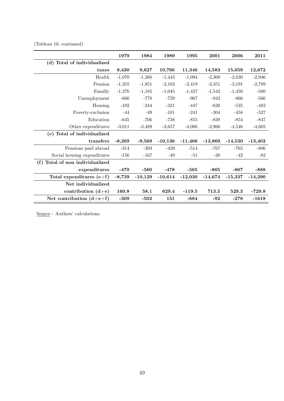(Tableau 10, continued)

|                                 | 1979     | 1984      | 1989      | 1995      | 2001      | 2006      | 2011      |
|---------------------------------|----------|-----------|-----------|-----------|-----------|-----------|-----------|
| (d) Total of individualized     |          |           |           |           |           |           |           |
| taxes                           | 8,430    | 9,627     | 10,766    | 11,346    | 14,583    | 15,059    | 12,672    |
| Health                          | $-1,070$ | $-1,266$  | $-1,443$  | $-1,094$  | $-2,300$  | $-2,630$  | $-2,946$  |
| Pension                         | $-1,355$ | $-1,851$  | $-2,102$  | $-2,419$  | $-3,351$  | $-3,191$  | $-2,789$  |
| Familly                         | $-1,376$ | $-1,185$  | $-1,045$  | $-1,437$  | $-1,542$  | $-1,450$  | $-580$    |
| Unemployment                    | $-666$   | $-778$    | $-729$    | $-967$    | $-942$    | $-866$    | $-566$    |
| Housing                         | $-102$   | $-244$    | $-321$    | $-447$    | $-626$    | $-535$    | $-482$    |
| Poverty-exclusion               | $-44$    | $-49$     | $-101$    | $-241$    | $-304$    | $-458$    | $-527$    |
| Education                       | $-645$   | $-706$    | $-738$    | $-855$    | $-838$    | $-854$    | $-847$    |
| Other expenditures              | $-3,011$ | $-3,489$  | $-3,657$  | $-4,006$  | $-3,966$  | $-4,546$  | $-4,665$  |
| (e) Total of individualized     |          |           |           |           |           |           |           |
| transfers                       | $-8,269$ | $-9,569$  | $-10,136$ | $-11,466$ | $-13,869$ | $-14,530$ | $-13,402$ |
| Pensions paid abroad            | $-314$   | $-393$    | $-429$    | $-514$    | -767      | $-765$    | $-806$    |
| Social housing expenditures     | $-156$   | $-167$    | $-49$     | $-51$     | $-38$     | $-42$     | $-82$     |
| (f) Total of non individualized |          |           |           |           |           |           |           |
| expenditures                    | $-470$   | $-560$    | $-478$    | $-565$    | $-805$    | $-807$    | $-888$    |
| Total expenditures $(e+f)$      | $-8,739$ | $-10,129$ | $-10,614$ | $-12,030$ | $-14,674$ | $-15,337$ | $-14,290$ |
| Net individualized              |          |           |           |           |           |           |           |
| contribution $(d+e)$            | 160.8    | 58.1      | 629.4     | $-119.5$  | 713.5     | 529.3     | $-729.8$  |
| Net contribution $(d+e+f)$      | $-309$   | $-502$    | 151       | $-684$    | $-92$     | $-278$    | $-1618$   |

Source : Authors' calculations.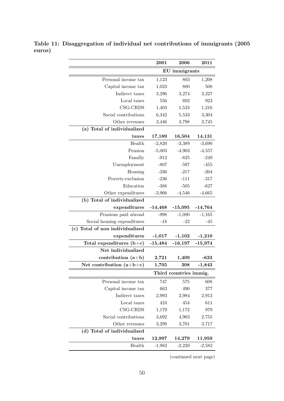|                                 | 2001      | 2006                   | 2011       |
|---------------------------------|-----------|------------------------|------------|
|                                 |           | EU immigrants          |            |
| Personal income tax             | 1,123     | 803                    | 1,208      |
| Capital income tax              | 1,023     | 880                    | 508        |
| Indirect taxes                  | 3,296     | 3,274                  | 3,227      |
| Local taxes                     | 556       | 692                    | 923        |
| CSG-CRDS                        | 1,403     | 1,523                  | 1,216      |
| Social contributions            | 6,342     | 5,533                  | 3,304      |
| Other revenues                  | 3,446     | 3,798                  | 3,745      |
| (a) Total of individualized     |           |                        |            |
| taxes                           | 17,189    | 16,504                 | 14,131     |
| Health                          | $-2,820$  | $-3,389$               | $-3,690$   |
| Pension                         | $-5,003$  | $-4,903$               | $-4,557$   |
| Familly                         | $-912$    | $-825$                 | $-249$     |
| Unemployment                    | $-807$    | $-597$                 | $-455$     |
| Housing                         | $-336$    | $-217$                 | $-204$     |
| Poverty-exclusion               | $-236$    | $-111$                 | $-317$     |
| Education                       | $-388$    | $-505$                 | $-627$     |
| Other expenditures              | $-3,966$  | $-4,546$               | $-4,665$   |
| (b) Total of individualized     |           |                        |            |
| expenditures                    | $-14,468$ | $-15,095$              | $-14,764$  |
| Pensions paid abroad            | $-998$    | $-1,080$               | $-1,165$   |
| Social housing expenditures     | $-18$     | $-22$                  | $-45$      |
| (c) Total of non individualized |           |                        |            |
| expenditures                    | $-1,017$  | $-1,102$               | $-1,210$   |
| Total expenditures $(b+c)$      | $-15,484$ | $-16,197$              | $-15,974$  |
| Net individualized              |           |                        |            |
| contribution $(a+b)$            | 2,721     | 1,409                  | $-633$     |
| Net contribution $(a+b+c)$      | 1,705     | 308                    | $-1,843$   |
|                                 |           | Third countries immig. |            |
| Personal income tax             | 747       | 575                    | 608        |
| Capital income tax              | 663       | 490                    | 377        |
| Indirect taxes                  | 2,993     | 2,984                  | 2,912      |
| Local taxes                     | 424       | 454                    | 611        |
| CSG-CRDS                        | 1,179     | 1,172                  | 979        |
| Social contributions            | 3,692     | 4,903                  | 2,755      |
| Other revenues                  | 3,299     | 3,701                  | 3,717      |
| (d) Total of individualized     |           |                        |            |
| taxes                           | 12,997    | 14,279                 | $11{,}959$ |
| Health                          | $-1,983$  | $-2,220$               | $-2,582$   |

Table 11: Disaggregation of individual net contributions of immigrants (2005 euros)

(continued next page)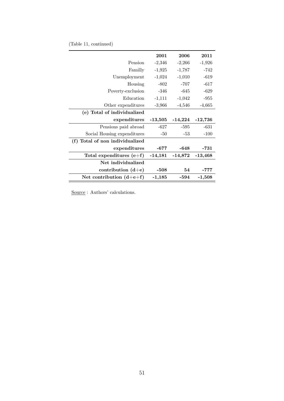|  |  |  | (Table 11, continued) |  |
|--|--|--|-----------------------|--|
|--|--|--|-----------------------|--|

| 2001      | 2006      | 2011      |
|-----------|-----------|-----------|
| $-2,346$  | $-2,266$  | $-1,926$  |
| $-1,925$  | $-1,787$  | -742      |
| $-1,024$  | $-1,010$  | $-619$    |
| $-802$    | $-707$    | $-617$    |
| $-346$    | $-645$    | $-629$    |
| $-1,111$  | $-1,042$  | $-955$    |
| $-3,966$  | $-4,546$  | $-4,665$  |
|           |           |           |
| $-13,505$ | $-14,224$ | $-12,736$ |
| $-627$    | -595      | $-631$    |
| $-50$     | $-53$     | $-100$    |
|           |           |           |
|           |           |           |
| -677      | $-648$    | -731      |
| $-14,181$ | $-14,872$ | $-13,468$ |
|           |           |           |
| -508      | 54        | -777      |
|           |           |           |

Source : Authors' calculations.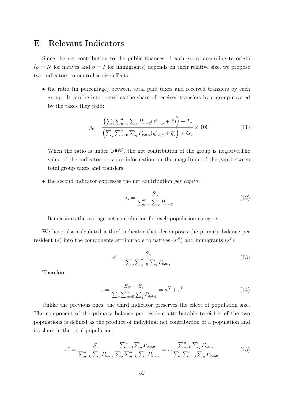## E Relevant Indicators

Since the net contribution to the public finances of each group according to origin  $(o = N$  for natives and  $o = I$  for immigrants) depends on their relative size, we propose two indicators to neutralise size effects:

• the ratio (in percentage) between total paid taxes and received transfers by each group. It can be interpreted as the share of received transfers by a group covered by the taxes they paid:

$$
p_o = \frac{\left(\sum_{i}\sum_{a=a}^{\overline{a}}\sum_{q}P_{o,a,q}(\tau_{o,a,q}^{i}+\bar{\tau})\right)+\bar{T}_o}{\left(\sum_{j}\sum_{a=0}^{\overline{a}}\sum_{q}P_{o,a,q}(g_{o,a,q}^{i}+\bar{g})\right)+\bar{G}_o} \times 100
$$
\n(11)

When the ratio is under 100%, the net contribution of the group is negative.The value of the indicator provides information on the magnitude of the gap between total group taxes and transfers;

• the second indicator expresses the net contribution *per capita*:

$$
s_o = \frac{S_o}{\sum_{a=0}^{\overline{a}} \sum_{q} P_{o,a,q}}
$$
(12)

It measures the average net contribution for each population category.

We have also calculated a third indicator that decomposes the primary balance per resident (s) into the components attributable to natives  $(s^N)$  and immigrants  $(s^I)$ :

$$
s^o = \frac{S_o}{\sum_o \sum_{a=0}^{\overline{a}} \sum_q P_{o,a,q}}
$$
(13)

Therefore

$$
s = \frac{S_N + S_I}{\sum_o \sum_{a=0}^{\overline{a}} \sum_q P_{o,a,q}} = s^N + s^I
$$
 (14)

Unlike the previous ones, the third indicator preserves the effect of population size. The component of the primary balance per resident attributable to either of the two populations is defined as the product of individual net contribution of a population and its share in the total population:

$$
s^{o} = \frac{S_{o}}{\sum_{a=0}^{\overline{a}} \sum_{q} P_{o,a,q}} \frac{\sum_{a=0}^{\overline{a}} \sum_{q} P_{o,a,q}}{\sum_{o} \sum_{a=0}^{\overline{a}} \sum_{q} P_{o,a,q}} = s_{o} \frac{\sum_{a=0}^{\overline{a}} \sum_{q} P_{o,a,q}}{\sum_{o} \sum_{a=0}^{\overline{a}} \sum_{q} P_{o,a,q}}
$$
(15)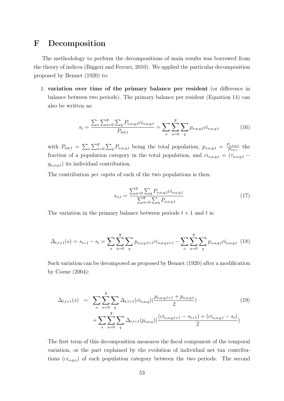## F Decomposition

The methodology to perform the decompositions of main results was borrowed from the theory of indices (Biggeri and Ferrari, 2010). We applied the particular decomposition proposed by Bennet (1920) to:

1. variation over time of the primary balance per resident (or difference in balance between two periods). The primary balance per resident (Equation 14) can also be written as:

$$
s_t = \frac{\sum_{o} \sum_{a=0}^{\overline{a}} \sum_{q} P_{o,a,q,t}^{i} c_{o,a,q,t}}{P_{tot,t}} = \sum_{o} \sum_{a=0}^{\overline{a}} \sum_{q} p_{o,a,q,t}^{i} c_{o,a,q,t}^{i}
$$
(16)

with  $P_{tot,t} = \sum_{o} \sum_{a=0}^{\overline{a}} \sum_{q} P_{o,a,q,t}$  being the total population,  $p_{o,a,q,t} = \frac{P_{o,a,q,t}}{P_{tot,t}}$  $\frac{P_{o,a,q,t}}{P_{tot,t}}$  the fraction of a population category in the total population, and  $ci_{o,a,q,t} = (\tau_{a,o,q,t} - \tau_{a,o,q,t})$  $g_{a.o.d.t}$ ) its individual contribution.

The contribution *per capita* of each of the two populations is then:

$$
s_{o,t} = \frac{\sum_{a=0}^{\overline{a}} \sum_{q} P_{o,a,q,t} c_{o,a,q,t}}{\sum_{a=0}^{\overline{a}} \sum_{q} P_{o,a,q,t}}
$$
(17)

The variation in the primary balance between periods  $t + 1$  and t is:

$$
\Delta_{t,t+1}(s) = s_{t+1} - s_t = \sum_{o} \sum_{a=0}^{\overline{a}} \sum_{q} p_{o,a,q,t+1} c i_{o,a,q,t+1} - \sum_{o} \sum_{a=0}^{\overline{a}} \sum_{q} p_{o,a,q,t} c i_{o,a,q,t} \tag{18}
$$

Such variation can be decomposed as proposed by Bennet (1920) after a modification by Coene (2004):

$$
\Delta_{t,t+1}(s) = \sum_{o} \sum_{a=0}^{\overline{a}} \sum_{q} \Delta_{t,t+1}(ci_{o,a,q})(\frac{p_{o,a,q,t+1} + p_{o,a,q,t}}{2}) + \sum_{o} \sum_{a=0}^{\overline{a}} \sum_{q} \Delta_{t,t+1}(p_{o,a,q})(\frac{(ci_{o,a,q,t+1} - s_{t+1}) + (ci_{o,a,q,t} - s_t)}{2})
$$
\n(19)

The first term of this decomposition measures the fiscal component of the temporal variation, or the part explained by the evolution of individual net tax contributions  $(c_i_{o,q,a})$  of each population category between the two periods. The second